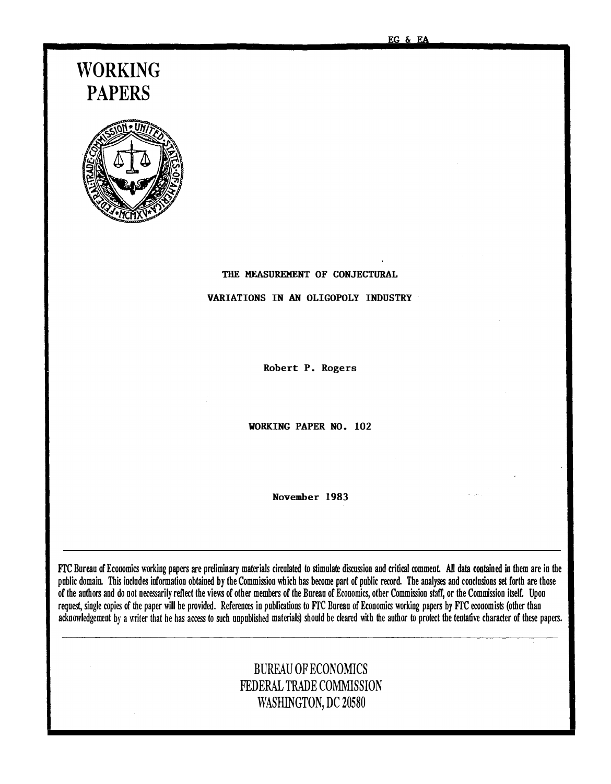# WORKING PAPERS



# THE MEASUREMENT OF CONJECTURAL

# VARIATIONS IN AN OLIGOPOLY INDUSTRY

Robert P. Rogers

WORKING PAPER NO. 102

November 1983

FTC Bureau of Economics working papers are preliminary materials circulated to stimulate discussion and critical comment. All data contained in them are in the public domain. This includes information obtained by the Commission which has become part of public record. The analyses and conclusions set forth are those of the authors and do not necessarily reflect the views of other members of the Bureau of Economics, other Commission staff, or the Commission itself. Upon request, single copies of the paper will be provided. References in publications to FTC Bureau of Economics working papers by FTC economists (other than acknowledgement by a writer that he has access to such unpublished materials) should be cleared with the author to protect the tentative character of these papers.

# BUREAU OF ECONOMICS FEDERAL TRADE COMMISSION WASHINGTON, DC 20580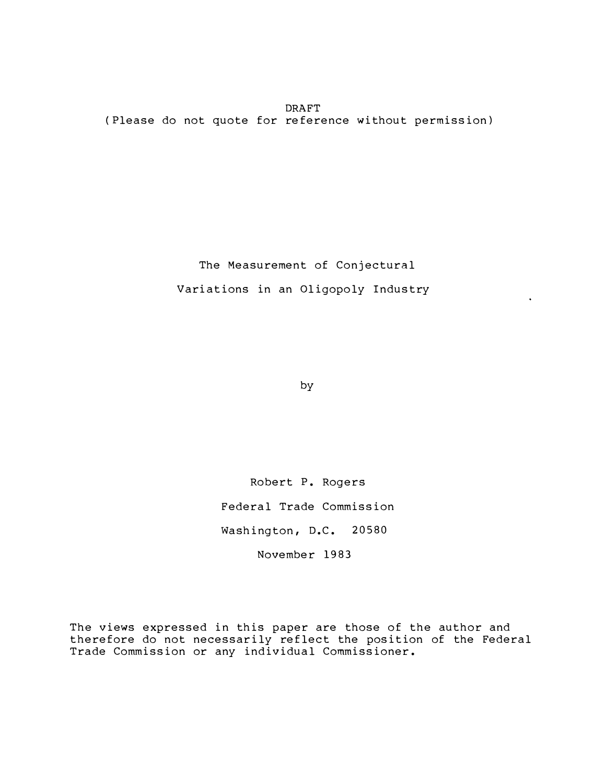**DRAFT** ( Please do not quote for re ference without permission)

> The Measurement of Conjectural Variations in an Oligopoly Industry

> > by

Robert P. Rogers Federal Trade Commission Washington, D.C. 20580 November 1983

The views expressed in this paper are those of the author and therefore do not necessarily reflect the position of the Federal Trade Commission or any individual Commissioner.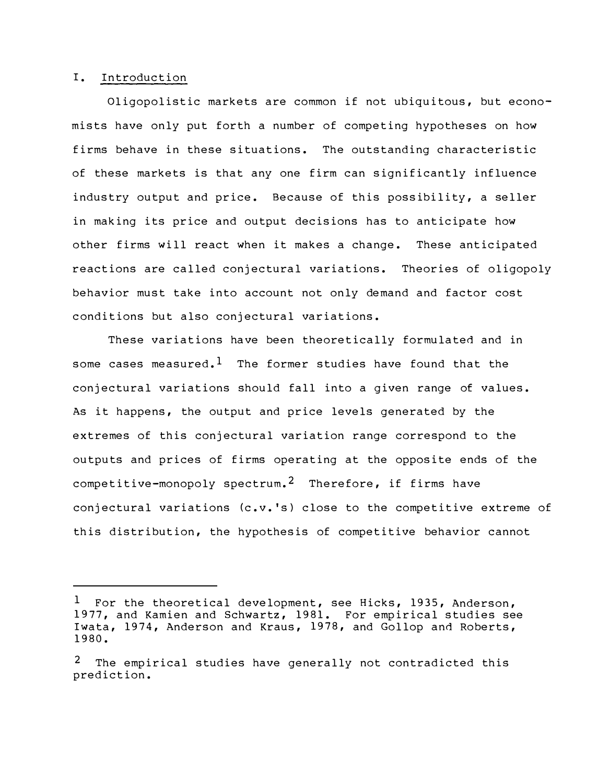#### I. Introduction

Oligopolistic markets are common if not ubiquitous, but economists have only put forth a number of competing hypotheses on how firms behave in these situations. The outstanding characteristic of these markets is that any one firm can significantly influence industry output and price. Because of this possibility, a seller in making its price and output decisions has to anticipate how other firms will react when it makes a change. These anticipated reactions are called conjectural variations. Theories of oligopoly behavior must take into account not only demand and factor cost conditions but also conjectural variations.

These variations have been theoretically formulated and in some cases measured.  $^1$  The former studies have found that the conjectural variations should fall into a given range of values. As it happens, the output and price levels generated by the extremes of this conjectural variation range correspond to the outputs and prices of firms operating at the opposite ends of the competitive-monopoly spectrum.<sup>2</sup> Therefore, if firms have conjectural variations (c.v. 's) close to the competitive extreme of this distribution, the hypothesis of competitive behavior cannot

 $1$  For the theoretical development, see Hicks, 1935, Anderson, 1977, and Kamien and Schwartz, 1981. For empirical studies see Iwata, 1974, Anderson and Kraus, 1978, and Gollop and Roberts, 1980.

The empirical studies have generally not contradicted this prediction.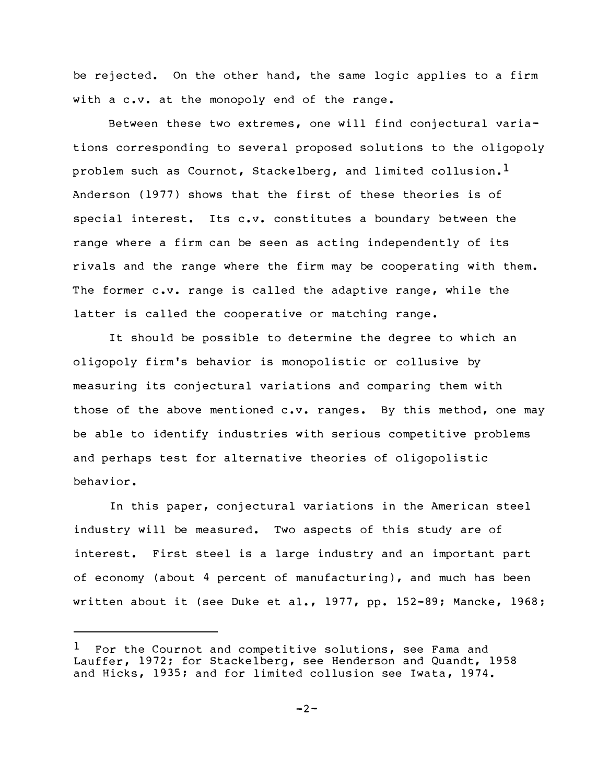be rejected. On the other hand, the same logic applies to a firm with a c.v. at the monopoly end of the range.

Between these two extremes, one will find conjectural variations corresponding to several proposed solutions to the oligopoly problem such as Cournot, Stackelberg, and limited collusion.<sup>1</sup> Anderson (1977) shows that the first of these theories is of special interest. Its c.v. constitutes a boundary between the range where a firm can be seen as acting independently of its rivals and the range where the firm may be cooperating with them. The former c.v. range is called the adaptive range, while the latter is called the cooperative or matching range.

It should be possible to determine the degree to which an oligopoly firm 's behavior is monopolistic or collusive by measuring its conjectural variations and comparing them with those of the above mentioned c.v. ranges. By this method, one may be able to identify industries with serious competitive problems and perhaps test for alternative theories of oligopolistic behavior.

In this paper, conjectural variations in the American steel industry will be measured. Two aspects of this study are of interest. First steel is a large industry and an important part of economy (about 4 percent of manufacturing), and much has been written about it (see Duke et al., 1977, pp. 152-89; Mancke, 1968;

For the Cournot and competitive solutions, see Fama and Lauffer, 1972; for Stackelberg, see Henderson and Quandt, 1958 and Hicks, 1935; and for limited collusion see Iwata, 1974. 1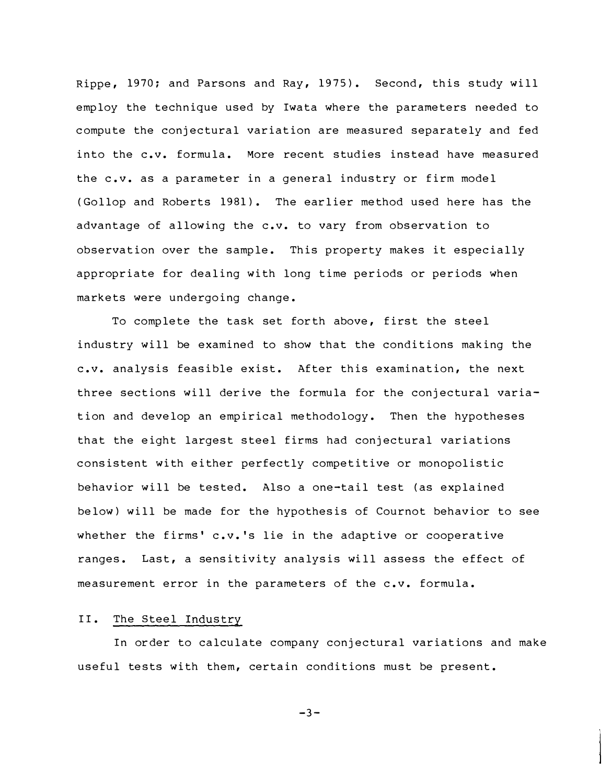Rippe, 1970; and Parsons and Ray, 1975). Second, this study will employ the technique used by Iwata where the parameters needed to compute the conjectural variation are measured separately and fed into the c.v. formula. More recent studies instead have measured the c.v. as a parameter in a general industry or firm model (Gollop and Roberts 1981). The earlier method used here has the advantage of allowing the c.v. to vary from observation to observation over the sample. This property makes it especially appropriate for dealing with long time periods or periods when markets were undergoing change.

To complete the task set for th above, first the steel industry will be examined to show that the conditions making the c.v. analysis feasible exist. After this examination, the next three sections will derive the formula for the conjectural variation and develop an empirical methodology. Then the hypotheses that the eight largest steel firms had conjectural variations consistent with either perfectly competitive or monopolistic behavior will be tested. Also a one-tail test (as explained below) will be made for the hypothesis of Cournot behavior to see whether the firms' c.v. 's lie in the adaptive or cooperative ranges. Last, a sensitivity analysis will assess the effect of measurement error in the parameters of the c.v. formula.

#### II. The Steel Industry

In or der to calculate company conjectural variations and make useful tests with them, certain conditions must be present.

 $-3-$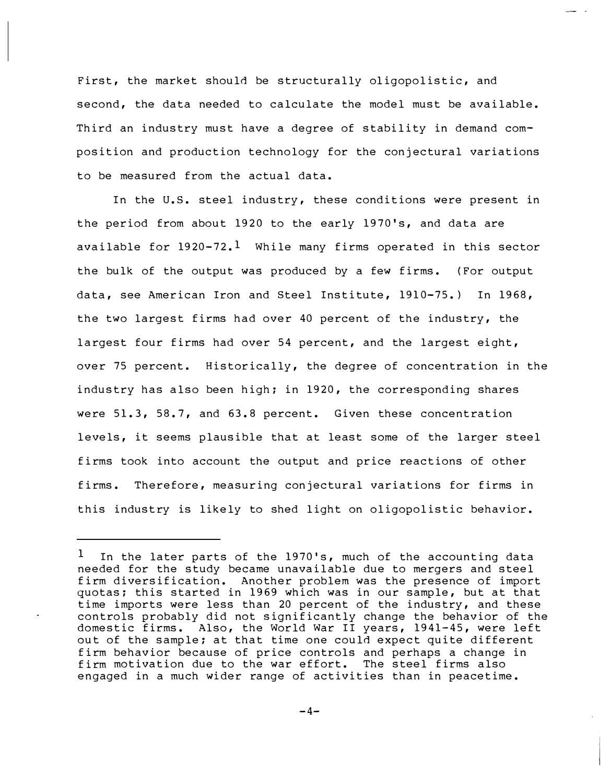First, the market should be structurally oligopolistic, and second, the data needed to calculate the model must be available. Third an industry must have a degree of stability in demand composition and production technology for the con jectural variations to be measured from the actual data.

In the U.S. steel industry, these conditions were present in the period from about 1920 to the early 1970's, and data are available for  $1920 - 72.1$  While many firms operated in this sector the bulk of the output was produced by a few firms. (For output data, see American Iron and Steel Institute, 1910-75.) In 1968, the two largest firms had over 40 percent of the industry, the largest four firms had over 54 percent, and the largest eight, over 75 percent. Historically, the degree of concentration in the industry has also been high; in 1920, the corresponding shares were 51.3, 58.7, and 63.8 percent. Given these concentration levels, it seems plausible that at least some of the larger steel firms took into account the output and price reactions of other firms. Therefore, measuring con jectural variations for firms in this industry is likely to shed light on oligopolistic behavior.

 $1$  In the later parts of the 1970's, much of the accounting data needed for the study became unavailable due to mergers and steel firm diversification. Another problem was the presence of import quotas; this started in 1969 which was in our sample, but at that time imports were less than 20 percent of the industry, and these controls probably did not significantly change the behavior of the domestic firms. Also, the World War II years, 1941-45, were left out of the sample; at that time one could expect quite different firm behavior because of price controls and perhaps a change in firm motivation due to the war effort. The steel firms also engaged in a much wider range of activities than in peacetime.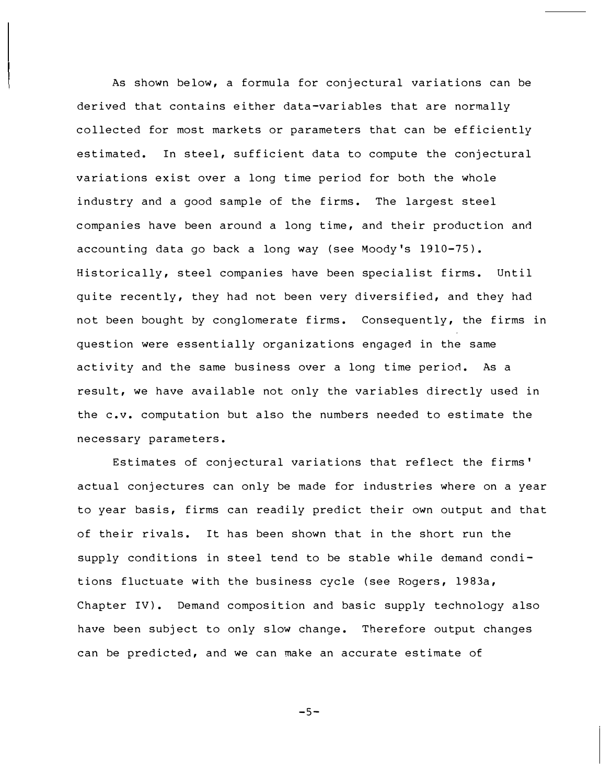As shown below, a formula for conjectural variations can be derived that contains either data-variables that are normally collected for most markets or parameters that can be efficiently estimated. In steel, sufficient data to compute the conjectural variations exist over a long time period for both the whole industry and a good sample of the firms. The largest steel companies have been around a long time, and their production and accounting data go back a long way (see Moody's  $1910-75$ ). Historically, steel companies have been specialist firms. Until quite recently, they had not been very diversified, and they had not been bought by conglomerate firms. Consequently, the firms in question were essentially organizations engaged in the same activity and the same business over a long time period. As a result, we have available not only the variables directly used in the c.v. computation but also the numbers needed to estimate the necessary parameters.

Estimates of conjectural variations that reflect the firms ' actual conjectures can only be made for industries where on a year to year basis, firms can readily predict their own output and that of their rivals. It has been shown that in the short run the supply conditions in steel tend to be stable while demand conditions fluctuate with the business cycle (see Rogers, 1983a, Chapter IV). Demand composition and basic supply technology also have been subject to only slow change. Therefore output changes can be predicted, and we can make an accurate estimate of

-5-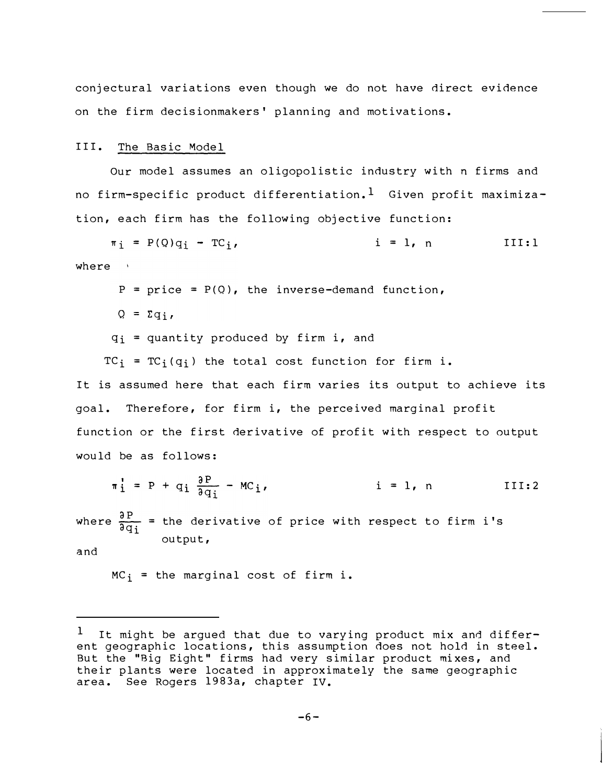conjectural variations even though we do not have direct evidence on the firm decisionmakers ' planning and motivations.

#### III. The Basic Model

Our model assumes an oligopolistic industry with n firms and no firm-specific product differentiation.<sup>1</sup> Given profit maximization, each firm has the following objective function:

 $\pi_i$  = P(Q)q<sub>i</sub> - TC<sub>j</sub>,  $i = l, n$  III:1 where \

$$
P = price = P(Q)
$$
, the inverse–demand function,

 $Q = \Sigma q_i$ 

 $q_i$  = quantity produced by firm i, and

 $TC_i = TC_i(q_i)$  the total cost function for firm i.

It is assumed here that each firm varies its output to achieve its goal. Therefore, for firm i, the perceived marginal profit function or the first derivative of profit with respect to output would be as follows:

$$
\pi_i^! = P + q_i \frac{\partial P}{\partial q_i} - MC_i, \qquad i = 1, n
$$
 III:2

where  $\frac{\partial P}{\partial q_i}$  = the derivative of price with respect to firm i's output,

and

 $MC_i$  = the marginal cost of firm i.

 $1$  It might be argued that due to varying product mix and different geographic locations, this assumption does not hold in steel. But the "Big Eight" firms had very similar product mi xes, and their plants were located in approximately the same geographic area. See Rogers 1983a, chapter IV.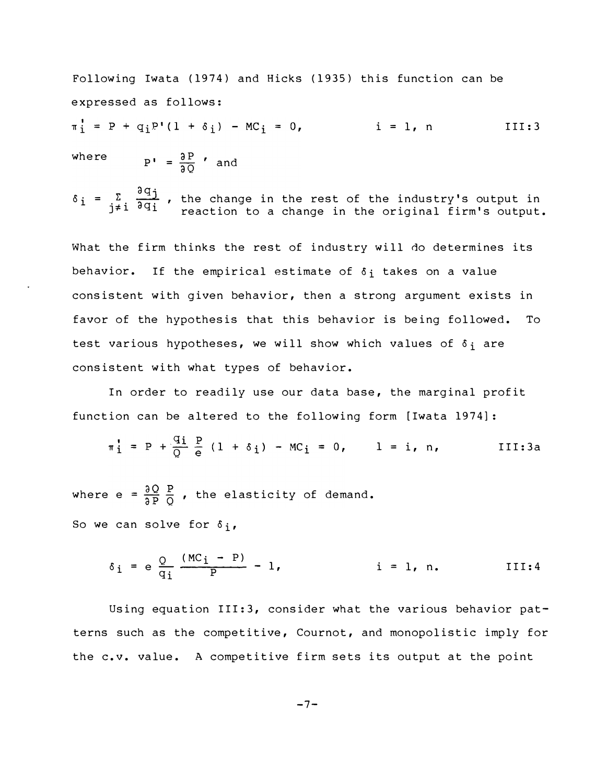where  $P' = \frac{\partial P}{\partial Q}$  and Following Iwata (1974) and Hicks (1935) this function can be expressed as follows:  $\pi_{i}^{!} = P + q_{i} P' (1 + \delta_{i}) - MC_{i} = 0,$  i = 1, n III:3

 $=\sum_{i=1}^{\infty}\frac{\partial q_{i}}{\partial q_{i}}$ , the change in the  $\delta_i = \frac{1}{j \neq i} \frac{1}{j \neq j}$ , the change in the rest of the industry's output in <br> $j \neq i$   $\frac{1}{j \neq i} \frac{1}{j \neq i}$  reaction to a change in the original firm's output.

What the firm thinks the rest of industry will do determines its behavior. If the empirical estimate of  $\delta_i$  takes on a value consistent with given behavior, then a strong argument exists in favor of the hypothesis that this behavior is being followed. To test various hypotheses, we will show which values of  $\delta_i$  are consistent with what types of behavior.

In order to readily use our data base, the marginal profit function can be altered to the following form [ Iwata 1974] :

$$
\pi_{1}^{\prime} = P + \frac{q_{1}}{Q} \frac{P}{e} (1 + \delta_{1}) - MC_{1} = 0, \qquad 1 = i, n,
$$
 III:3a

where e =  $\frac{\partial Q}{\partial P} \frac{P}{Q}$  , the elasticity of demand. So we can solve for  $\delta_i$ ,

$$
\delta_i = e \frac{Q}{q_i} \frac{(MC_i - P)}{P} - 1,
$$
   
 i = 1, n. III:4

Using equation III:3, consider what the various behavior patterns such as the competitive, Cournot, and monopolistic imply for the c.v. value. A competitive firm sets its output at the point

$$
-7-
$$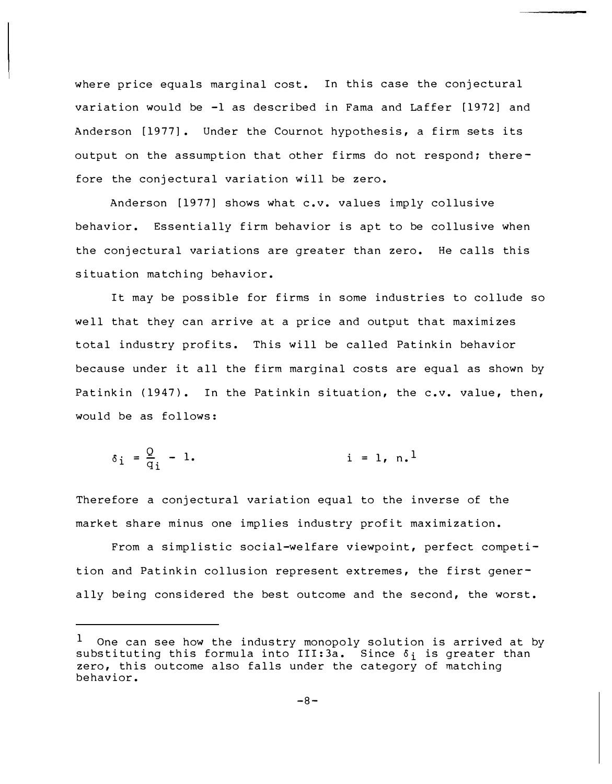where price equals marginal cost. In this case the conjectural variation would be  $-1$  as described in Fama and Laffer  $[1972]$  and Anderson [1977]. Under the Cournot hypothesis, a firm sets its output on the assumption that other firms do not respond; therefore the conjectural variation will be zero.

Anderson [1977] shows what c.v. values imply collusive behavior. Essentially firm behavior is apt to be collusive when the conjectural variations are greater than zero. He calls this situation matching behavior.

It may be possible for firms in some industries to collude so well that they can arrive at a price and output that maximizes total industry profits. This will be called Patinkin behavior because under it all the firm marginal costs are equal as shown by Patinkin (1947). In the Patinkin situation, the c.v. value, then, would be as follows:

$$
\delta_{i} = \frac{Q}{q_{i}} - 1.
$$
   
 i = 1, n.]

Therefore a conjectural variation equal to the inverse of the market share minus one implies industry profit maximization.

From a simplistic social-welfare viewpoint, perfect competition and Patinkin collusion represent extremes, the first generally being considered the best outcome and the second, the worst.

 $^{\text{1}}$  One can see how the industry monopoly solution is arrived at by substituting this formula into III:  $3a.$  Since  $\delta_i$  is greater than zero, this outcome also falls under the category of matching behavior.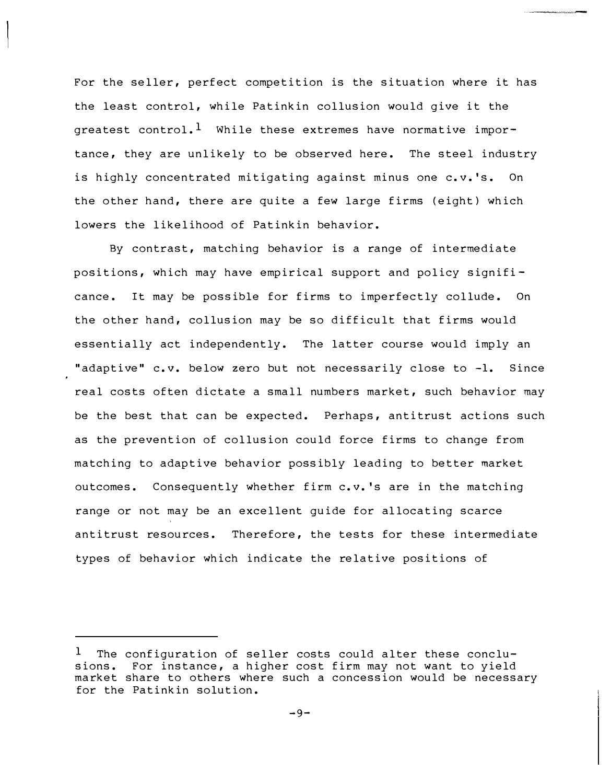For the seller, perfect competition is the situation where it has the least control, while Patinkin collusion would give it the greatest control.<sup>1</sup> While these extremes have normative importance, they are unlikely to be observed here. The steel industry is highly concentrated mitigating against minus one c. v.'s. On the other hand, there are quite a few large firms (eight) which lowers the likelihood of Patinkin behavior.

By contrast, matching behavior is a range of intermediate positions, which may have empirical support and policy signifi cance. It may be possible for firms to imperfectly collude. On the other hand, collusion may be so difficult that firms would essentially act independently. The latter course would imply an "adaptive" c.v. below zero but not necessarily close to -1. Since real costs often dictate a small numbers market, such behavior may be the best that can be expected. Perhaps, antitrust actions such as the prevention of collusion could force firms to change from matching to adaptive behavior possibly leading to better market outcomes. Consequently whether firm c. v. 's are in the matching range or not may be an excellent guide for allocating scarce antitrust resources. Therefore, the tests for these intermediate types of behavior which indicate the relative positions of

The configuration of seller costs could alter these conclusions. For instance, a higher cost firm may not want to yield market share to others where such a concession would be necessary for the Patinkin solution. 1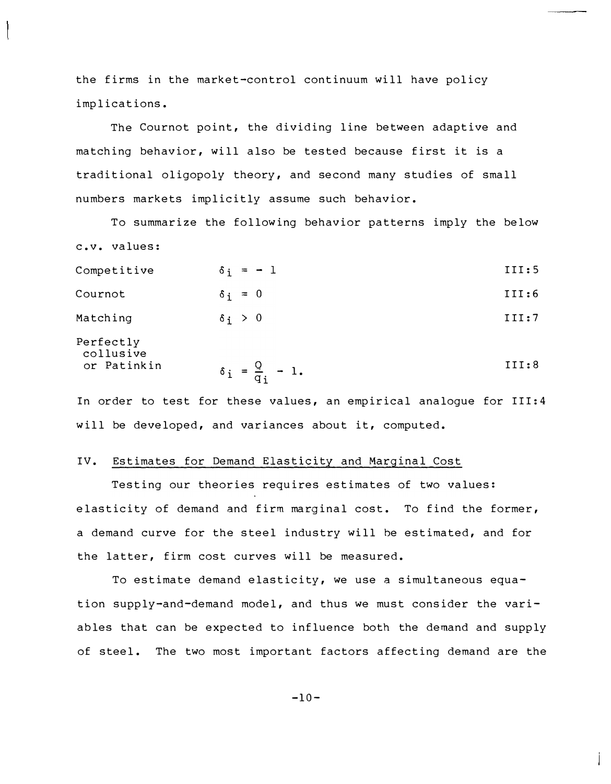the firms in the market-control continuum will have policy implications.

The Cournot point, the dividing line between adaptive and matching behavior, will also be tested because first it is a traditional oligopoly theory, and second many studies of small numbers markets implicitly assume such behavior.

To summarize the following behavior patterns imply the below c.v. values:

Competitive  $\delta_i = -1$  III:5

| Cournot | $\delta$ : $=$ | III:6 |
|---------|----------------|-------|
|         |                |       |

Matching  $\delta_i > 0$  III:7

Perfectly collusive<br>or Patinkin

or Patinkin 
$$
\delta_i = \frac{Q}{q_i} - 1
$$
. III:8

In order to test for these values, an empirical analogue for III:4 will be developed, and variances about it, computed.

# IV. Estimates for Demand Elasticity and Marginal Cost

Testing our theories requires estimates of two values: elasticity of demand and firm marginal cost. To find the former, a demand curve for the steel industry will be estimated, and for the latter, firm cost curves will be measured.

To estimate demand elasticity, we use a simultaneous equation supply-and-demand model, and thus we must consider the variables that can be expected to influence both the demand and supply of steel. The two most important factors affecting demand are the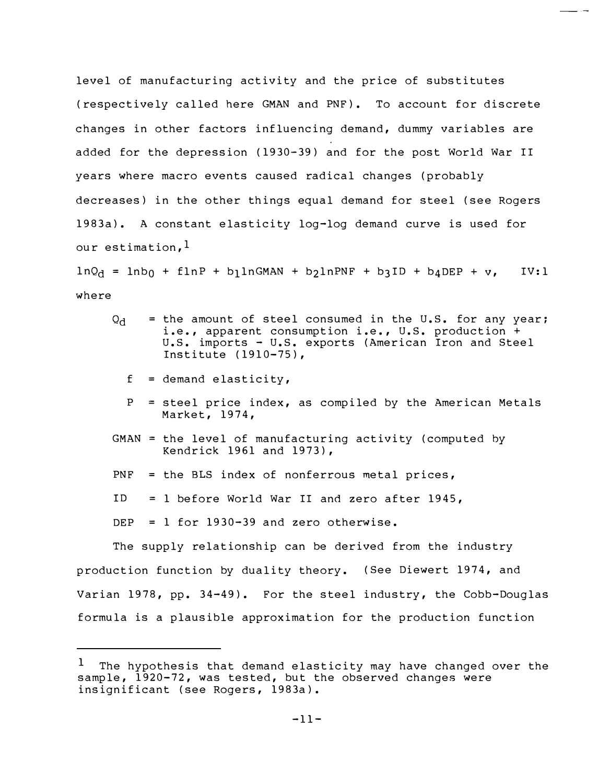level of manufacturing activity and the price of substitutes (respectively called here GMAN and PNF). To account for discrete changes in other factors influencing demand, dummy variables are added for the depression (1930-39) and for the post World War II years where macro events caused radical changes (probably decreases) in the other things equal demand for steel (see Rogers 1983a). A constant elasticity log-log demand curve is used for our estimation,  $\frac{1}{1}$ 

\_ .\_

 $lnQ<sub>d</sub> = lnb<sub>0</sub> + finP + b<sub>1</sub> lnGMAN + b<sub>2</sub> lnPNF + b<sub>3</sub> ID + b<sub>4</sub> DEP + v, IV:1$ where

- $Q_{\rm d}$  = the amount of steel consumed in the U.S. for any year; i.e., apparent consumption i.e., U.S. production + U.S. imports - U.S. exports (American Iron and Steel Institute (1910-75),
	- $f =$  demand elasticity,
	- P = steel price index, as compiled by the American Metals Market, 1974,
- GMAN = the level of manufacturing activity (computed by Kendrick 1961 and 1973),
- PNF = the BLS index of nonferrous metal prices,
- ID = 1 before World War II and zero after 1945,

DEP =  $1$  for 1930-39 and zero otherwise.

The supply relationship can be derived from the industry production function by duality theory. ( See Diewert 1974, and Varian 1978, pp. 34-49). For the steel industry, the Cobb-Douglas formula is a plausible approximation for the production function

 $1$  The hypothesis that demand elasticity may have changed over the sample, 1920-72, was tested, but the observed changes were insignificant (see Rogers, 1983a).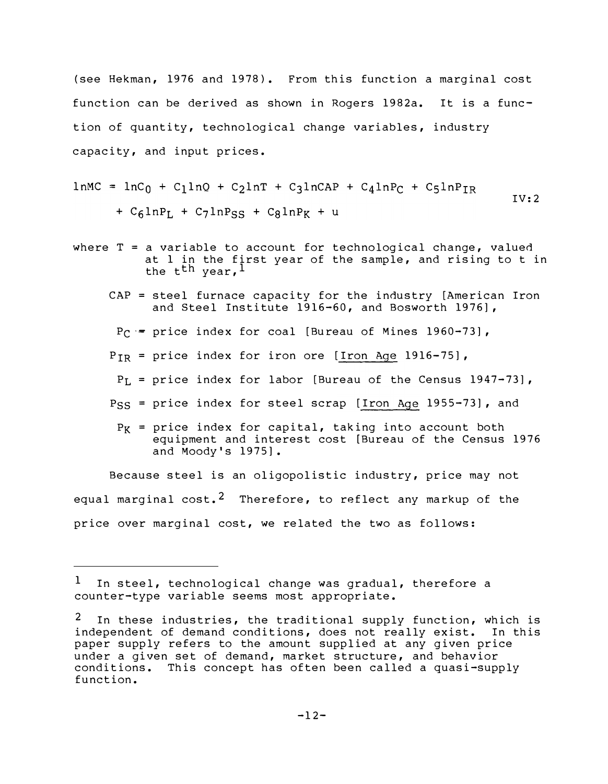(see Hekman, 1976 and 1978). From this function a marginal cost function can be derived as shown in Rogers 1982a. It is a function of quantity, technological change variables, industry capacity, and input prices.

$$
1 nMC = lnC_0 + C_1 lnQ + C_2 lnT + C_3 lnCAP + C_4 lnP_C + C_5 lnP_{IR}
$$
  
+ C\_6 lnP<sub>L</sub> + C\_7 lnP<sub>SS</sub> + C\_8 lnP<sub>K</sub> + u

- where  $T = a$  variable to account for technological change, valued at 1 in the first year of the sample, and rising to t in the t<sup>th</sup> year,  $l$ 
	- CAP = steel furnace capacity for the industry [American Iron and Steel Institute 1916-60, and Bosworth 1976],
	- $P_C =$  price index for coal [Bureau of Mines 1960-73],
	- $P_{IR}$  = price index for iron ore  $[\underline{\text{Iron Age}}$  1916-75],
	- $\texttt{P}_{\text{L}}$  = price index for labor [Bureau of the Census 1947–73],
	- P<sub>SS</sub> = price index for steel scrap [<u>Iron Age</u> 1955<del>-</del>73], and
	- $P_K$  = price index for capital, taking into account both equipment and interest cost [Bureau of the Census 1976 and Moody's 1975].

Because steel is an oligopolistic industry, price may not equal marginal  $cost.^2$  Therefore, to reflect any markup of the price over marginal cost, we related the two as follows:

In steel, technological change was gradual, therefore a counter-type variable seems most appropriate.

In these industries, the traditional supply function, which is independent of demand conditions, does not really exist. In this paper supply refers to the amount supplied at any given price under a given set of demand, market structure, and behavior conditions. This concept has often been called a quasi-supply function.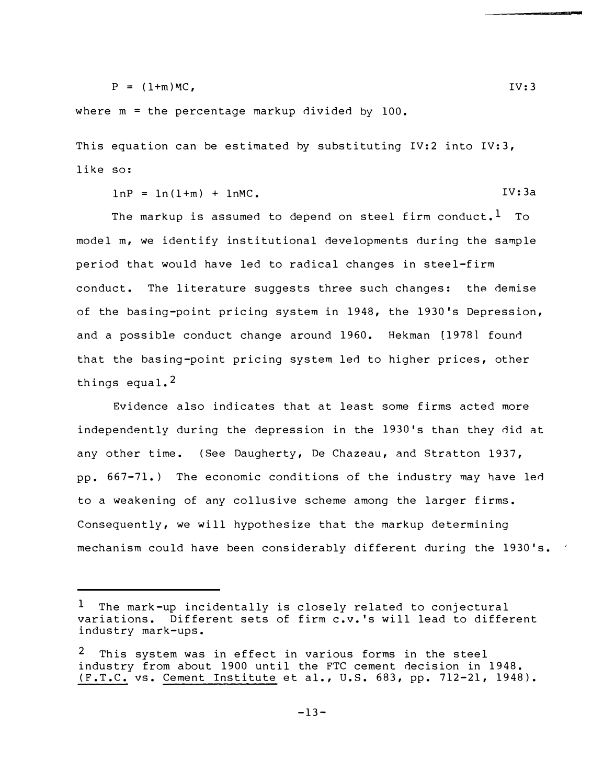$P = (1+m)MC$ , IV:3

where m = the percentage markup divided by 100.

This equation can be estimated by substituting IV:2 into IV:3, like so:

 $lnP = ln(1+m) + lnMC.$  IV:3a

The markup is assumed to depend on steel firm conduct.<sup>1</sup> To model m, we identify institutional developments during the sample period that would have led to radical changes in steel-firm conduct. The literature suggests three such changes: the demise of the basing-point pricing system in 1948, the 1930's Depression, and a possible conduct change around 1960. Hekman [1978] found that the basing-point pricing system led to higher prices, other things equal.<sup>2</sup>

Evidence also indicates that at least some firms acted more independently during the depression in the 1930's than they did at any other time. (See Daugherty, De Chazeau, and Stratton 1937, pp. 667-71.) The economic conditions of the industry may have led to a weakening of any collusive scheme among the larger firms. Consequently, we will hypothesize that the markup determining mechanism could have been considerably different during the 1930's.

 $-13-$ 

The mark-up incidentally is closely related to conjectural variations. Different sets of firm c.v.'s will lead to different industry mark-ups.

<sup>2</sup> This system was in effect in various forms in the steel industry from about 1900 until the FTC cement decision in 1948. (F.T.C. vs. Cement Institute et al., U.S. 683, pp. 712-21, 1948).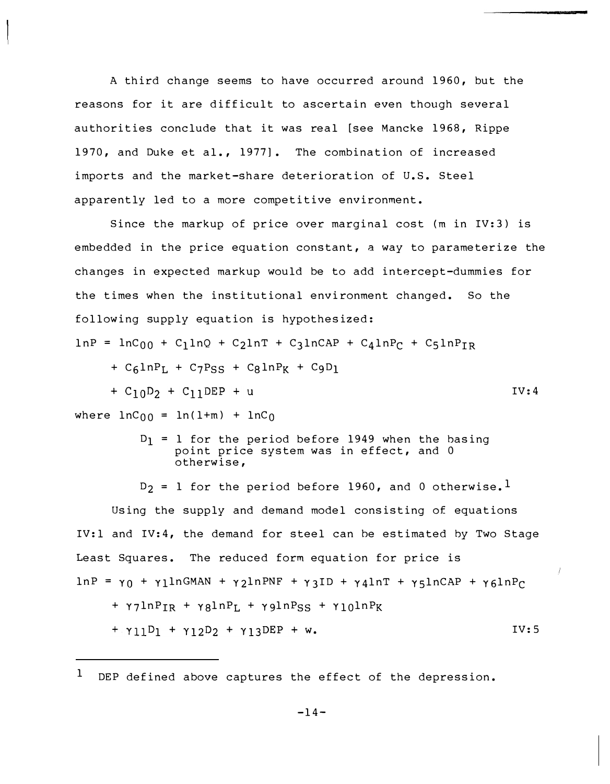A third change seems to have occurred around 1960, but the reasons for it are difficult to ascertain even though several authorities conclude that it was real [see Mancke 1968, Rippe 1970, and Duke et al., 1977]. The combination of increased imports and the market-share deterioration of U.S. Steel apparently led to a more competitive environment.

Since the markup of price over marginal cost (m in IV:3) is embedded in the price equation constant, a way to parameterize the changes in expected markup would be to add intercept-dummies for the times when the institutional environment changed. So the following supply equation is hypothesized:  $lnP = lnC_{00} + C_1lnQ + C_2lnT + C_3lnCAP + C_4lnP_C + C_5lnP_{TR}$  $+$  C<sub>6</sub>lnP<sub>L</sub> + C<sub>7</sub>P<sub>SS</sub> + C<sub>8</sub>lnP<sub>K</sub> + C<sub>9</sub>D<sub>1</sub> +  $C_{10}D_{2}$  +  $C_{11}$ DEP + u IV:4 where  $lnC_{00} = ln(1+m) + lnC_0$  $D_1$  = 1 for the period before 1949 when the basing point price system was in effect, and 0

otherwise,  $D_2 = 1$  for the period before 1960, and 0 otherwise.<sup>1</sup>

Using the supply and demand model consisting of equations IV:l and IV:4, the demand for steel can be estimated by Two Stage Least Squares. The reduced form equation for price is  $ln P = \gamma_0 + \gamma_1 ln GMAN + \gamma_2 ln PNF + \gamma_3 ID + \gamma_4 ln T + \gamma_5 ln CAP + \gamma_6 ln P_C$  $+ \gamma$ 7ln P<sub>IR</sub> +  $\gamma$ 8ln P<sub>L</sub> +  $\gamma$ 9ln P<sub>SS</sub> +  $\gamma$ <sub>10</sub>ln P<sub>K</sub>  $+$   $\gamma_{11}D_1$  +  $\gamma_{12}D_2$  +  $\gamma_{13}$ DEP + w. IV:S

DEP defined above captures the effect of the depression. 1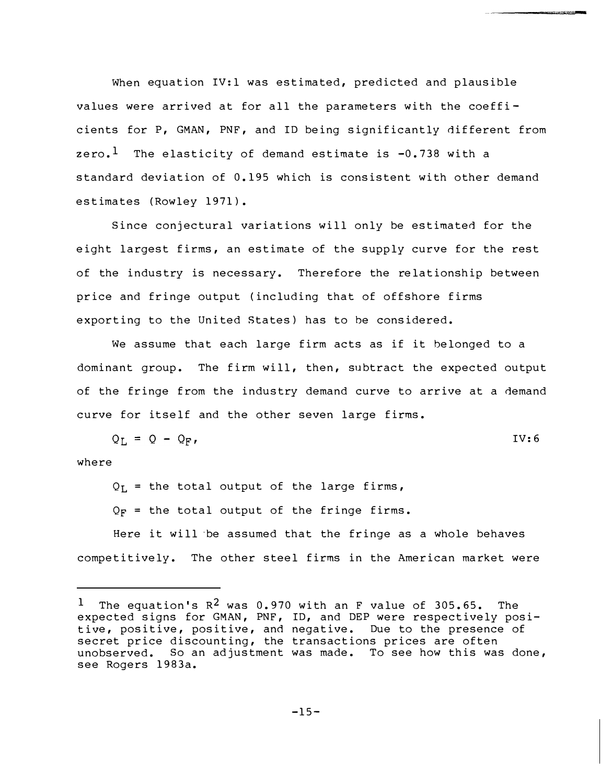When equation IV:l was estimated, predicted and plausible values were arrived at for all the parameters with the coeffi cients for P, GMAN, PNF, and ID being significantly different from zero.<sup>1</sup> The elasticity of demand estimate is  $-0.738$  with a standard deviation of 0.195 which is consistent with other demand estimates (Rowley 1971).

**CONNECTIONS OF STATE** 

Since conjectural variations will only be estimated for the eight largest firms, an estimate of the supply curve for the rest of the industry is necessary. Therefore the relationship between price and fringe output (including that of offshore firms exporting to the United States) has to be considered.

We assume that each large firm acts as if it belonged to a dominant group. The firm will, then, subtract the expected output of the fringe from the industry demand curve to arrive at a demand curve for it self and the other seven large firms.

$$
Q_{L} = Q - Q_{F}, \qquad \qquad \text{IV:6}
$$

where

 $Q_{\text{L}}$  = the total output of the large firms,

 $Q_F$  = the total output of the fringe firms.

Here it will ·be assumed that the fringe as a whole behaves competitively. The other steel firms in the American market were

 $-15-$ 

<sup>&</sup>lt;sup>1</sup> The equation's  $R^2$  was 0.970 with an F value of 305.65. The expected signs for GMAN, PNF, ID, and DEP were respectively positive, positive, positive, and negative. Due to the presence of secret price discounting, the transactions prices are often unobserved. So an adjustment was made. To see how this was done, see Rogers 1983a.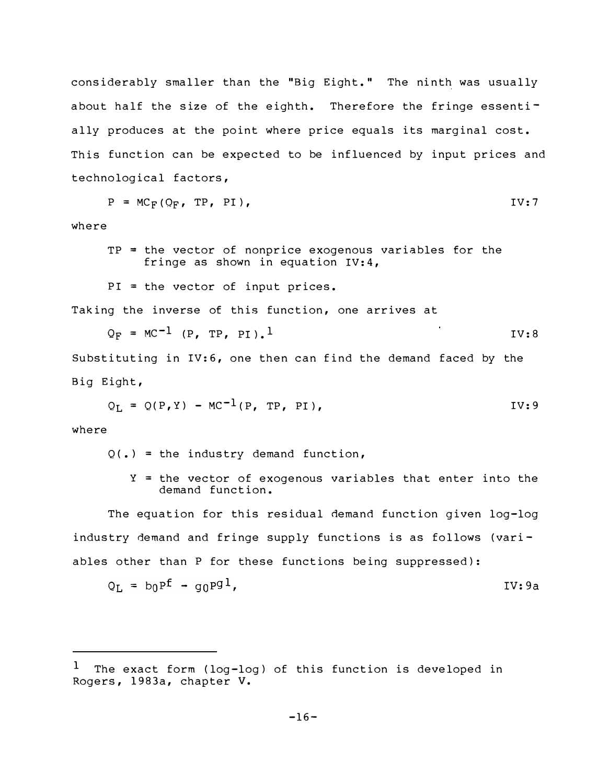considerably smaller than the "Big Eight." The ninth was usually about half the size of the eighth. Therefore the fringe essentially produces at the point where price equals its marginal cost. This function can be expected to be influenced by input prices and technological factors,

$$
P = MC_F(Q_F, TP, PI),
$$

where

- TP = the vector of nonprice exogenous variables for the fringe as shown in equation IV:4,
- PI = the vector of input prices.

Taking the inverse of this function, one arrives at

$$
Q_F = MC^{-1} (P, TP, PI).1
$$
 IV:8

Substituting in IV:6, one then can find the demand faced by the Big Eight,

$$
Q_L = Q(P, Y) - MC^{-1}(P, TP, PI),
$$
 IV:9

where

- $Q(\cdot)$  = the industry demand function,
	- Y = the vector of exogenous variables that enter into the demand function.

The equation for this residual demand function given log-log industry demand and fringe supply functions is as follows (variables other than P for these functions being suppressed):

$$
Q_{L} = b_0 P^f - g_0 P^g
$$

 $<sup>1</sup>$  The exact form (log-log) of this function is developed in</sup> Rogers, 1983a, chapter v.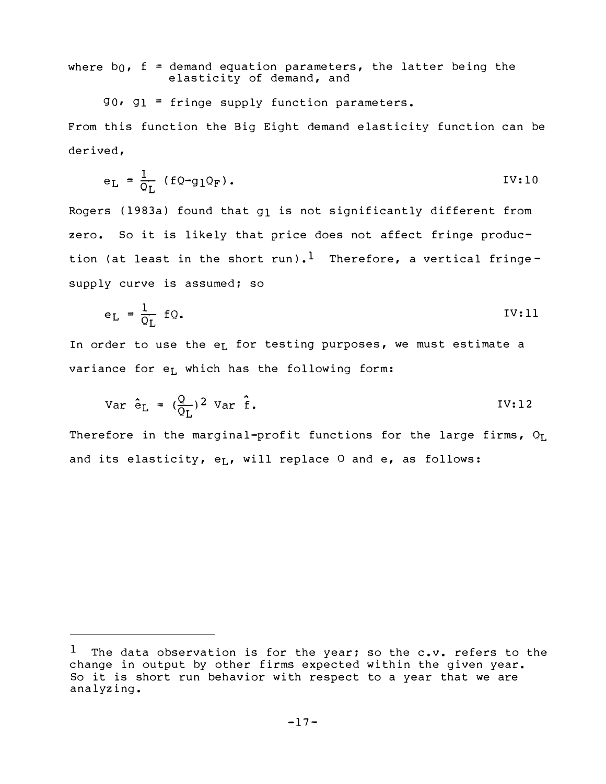where  $b_0$ ,  $f =$  demand equation parameters, the latter being the elasticity of demand, and

 $90.91$  = fringe supply function parameters. From this function the Big Eight demand elasticity function can be derived,

$$
e_{L} = \frac{1}{Q_{L}} (fQ - g_{1}Q_{F}). \qquad \qquad \text{IV:10}
$$

Rogers (1983a) found that g<sub>l</sub> is not significantly different from zero. So it is likely that price does not affect fringe production (at least in the short run).<sup>1</sup> Therefore, a vertical fringesupply curve is assumed; so

$$
e_{L} = \frac{1}{Q_{L}} fQ. \qquad \qquad \text{IV:11}
$$

In order to use the e<sub>L</sub> for testing purposes, we must estimate a variance for  $e_L$  which has the following form:

$$
Var \hat{e}_L = (\frac{Q}{Q_L})^2 Var \hat{f}.
$$
IV:12

Therefore in the marginal-profit functions for the large firms,  $Q_{L}$ and its elasticity,  $e_L$ , will replace  $Q$  and  $e_L$ , as follows:

 $^1$  The data observation is for the year; so the c.v. refers to the change in output by other firms expected within the given year. So it is short run behavior with respect to a year that we are analyzing.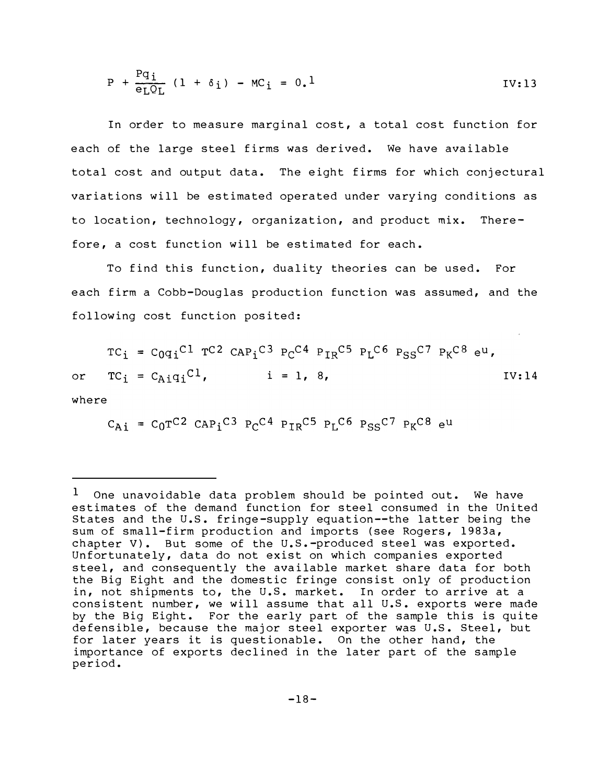$$
P + \frac{Pq_i}{e_L Q_L} (1 + \delta_i) - MC_i = 0.1
$$
 IV:13

In order to measure marginal cost, a total cost function for each of the large steel firms was derived. We have available total cost and output data. The eight firms for which conjectural variations will be estimated operated under varying conditions as to location, technology, organization, and product mix. Therefore, a cost function will be estimated for each.

To find this function, duality theories can be used. For each firm a Cobb-Douglas production function was assumed, and the following cost function posited:

 $TC_i = C_{0}q_i^C1 T C2 C_{AP_i}C3 P_C C4 P_{TR}C5 P_L C6 P_{SS}C7 P_K C8 e^u$  $TC_i = C_{A_i}q_iC_1$ ,  $i = 1, 8,$  IV:14 or where

$$
C_{\text{Ai}} = C_0 T^{C2} \text{ CAP}_i^{C3} P_C^{C4} P_{IR}^{C5} P_L^{C6} P_{SS}^{C7} P_K^{C8} e^{u}
$$

<sup>1</sup>  One unavoidable data problem should be pointed out. We have estimates of the demand function for steel consumed in the United States and the U.S. fringe-supply equation--the latter being the sum of small-firm production and imports (see Rogers, 1983a, chapter V). But some of the  $U.S.-product$  steel was exported. Unfortunately, data do not exist on which companies exported steel, and consequently the available market share data for both the Big Eight and the domestic fringe consist only of production in, not shipments to, the U.S. market. In order to arrive at a consistent number, we will assume that all U.S. exports were made by the Big Eight. For the early part of the sample this is quite defensible, because the major steel exporter was U.S. Steel, but for later years it is questionable. On the other hand, the importance of exports declined in the later part of the sample period.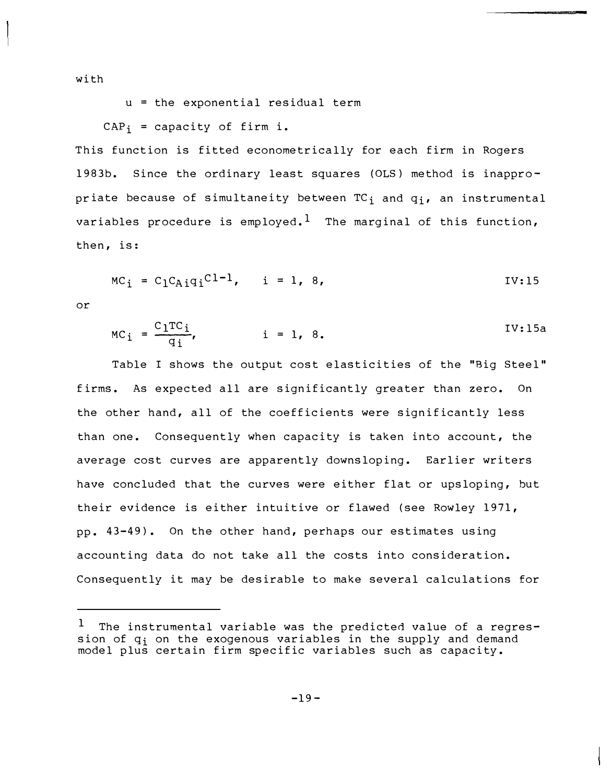with

u = the exponential residual term

 $CAP_i = capacity of firm i.$ 

This function is fitted econometrically for each firm in Rogers 1983b. Since the ordinary least squares (OLS) method is inappropriate because of simultaneity between  $TC_i$  and  $q_i$ , an instrumental variables procedure is employed.<sup>1</sup> The marginal of this function, then, is:

$$
MC_i = C_1 C_{A i} q_i C^{1-1}, \quad i = 1, 8,
$$

or

$$
MC_i = \frac{C_1TC_i}{q_i}, \qquad i = 1, 8.
$$
IV:15a

Table I shows the output cost elasticities of the "Big Steel" firms. As expected all are significantly greater than zero. On the other hand, all of the coefficients were significantly less than one. Consequently when capacity is taken into account, the average cost curves are apparently downsloping. Earlier writers have concluded that the curves were either flat or upsloping, but their evidence is either intuitive or flawed (see Rowley 1971, pp. 43-49). On the other hand, perhaps our estimates using accounting data do not take all the costs into consideration. Consequently it may be desirable to make several calculations for

 $1$  The instrumental variable was the predicted value of a regression of  $q_i$  on the exogenous variables in the supply and demand model plus certain firm specific variables such as capacity.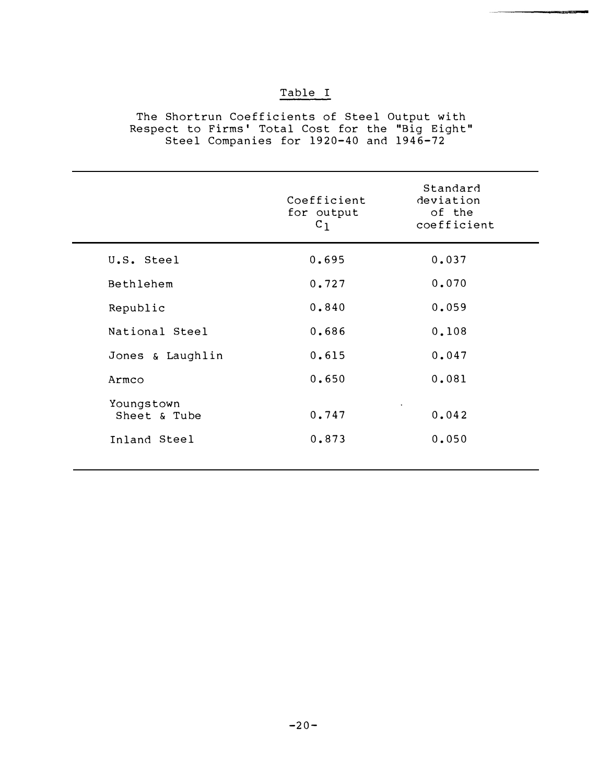# Table I

The Shortrun Coefficients of Steel Output with Respect to Firms ' Total Cost for the "Big Eight" Steel Companies for 19 20-40 and 1946-72

|                            | Coefficient<br>for output<br>$c_1$ | Standard<br>deviation<br>of the<br>coefficient |
|----------------------------|------------------------------------|------------------------------------------------|
| U.S. Steel                 | 0.695                              | 0.037                                          |
| Bethlehem                  | 0.727                              | 0.070                                          |
| Republic                   | 0.840                              | 0.059                                          |
| National Steel             | 0.686                              | 0.108                                          |
| Jones & Laughlin           | 0.615                              | 0.047                                          |
| Armco                      | 0.650                              | 0.081                                          |
| Youngstown<br>Sheet & Tube | 0.747                              | 0.042                                          |
| Inland Steel               | 0.873                              | 0.050                                          |
|                            |                                    |                                                |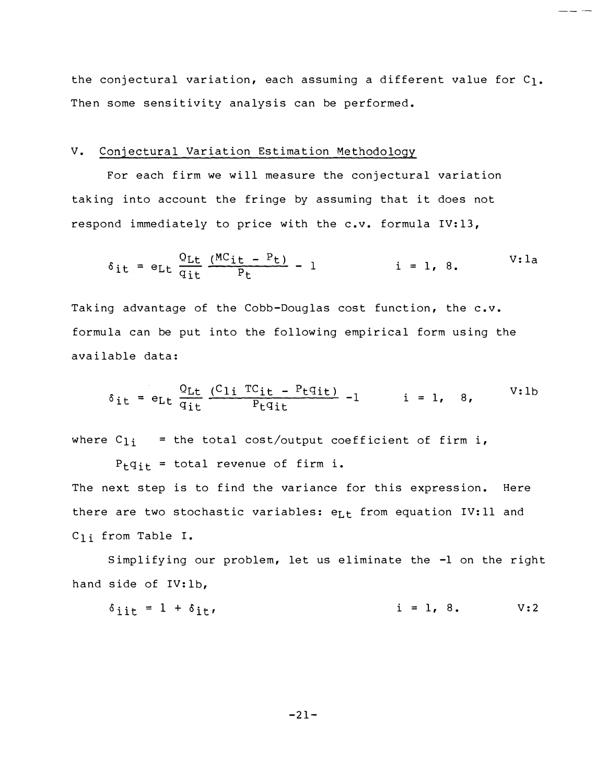the conjectural variation, each assuming a different value for  $C_1$ . Then some sensitivity analysis can be performed.

 $-$ 

# V. Conjectural Variation Estimation Methodology

For each firm we will measure the conjectural variation taking into account the fringe by assuming that it does not respond immediately to price with the c.v. formula IV:13,

$$
\delta_{it} = e_{Lt} \frac{Q_{Lt}}{q_{it}} \frac{(MC_{it} - P_t)}{P_t} - 1 \qquad i = 1, 8. \qquad V: la
$$

Taking advantage of the Cobb-Douglas cost function, the c.v. formula can be put into the following empirical form using the available data:

$$
\delta_{it} = e_{Lt} \frac{Q_{Lt}}{q_{it}} \frac{(C_{1i} TC_{it} - P_t q_{it})}{P_t q_{it}} - 1 \qquad i = 1, 8, \qquad V:lb
$$

where  $C_{1i}$  = the total cost/output coefficient of firm i,

 $P_{\text{t}}q_{\text{it}}$  = total revenue of firm i. The next step is to find the variance for this expression. Here there are two stochastic variables:  $e_{L,t}$  from equation IV:11 and Cli from Table I.

Simplifying our problem, let us eliminate the -1 on the right hand side of IV: lb,

$$
\delta_{\text{iit}} = 1 + \delta_{\text{it}}, \qquad \text{i} = 1, 8. \qquad \text{V:2}
$$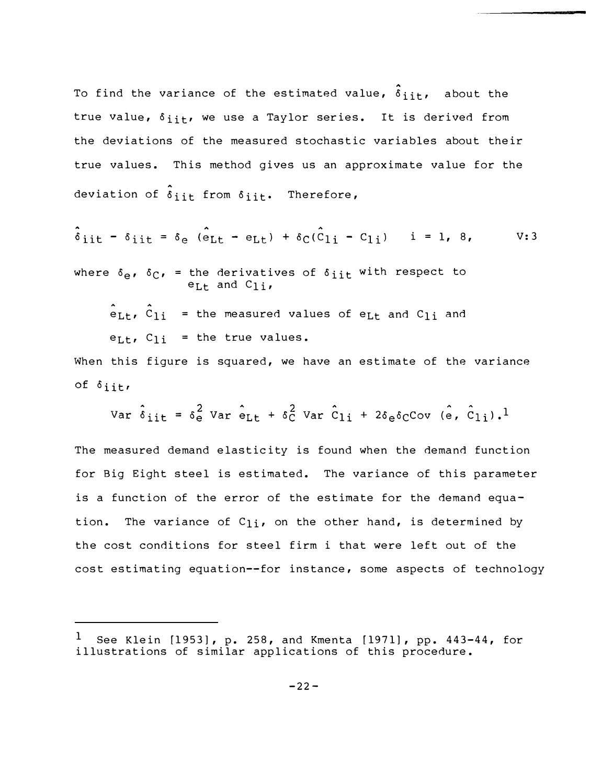true value,  $\delta_{\texttt{i}\texttt{it}}$ , we use a Taylor series. It is derived from To find the variance of the estimated value,  $\hat{\delta}_{i\,i\,t}$ , about the the deviations of the measured stochastic variables about their true values. This method gives us an approximate value for the deviation of  $\delta_{\text{ijt}}$  from  $\delta_{\text{ijt}}$ . Therefore,

$$
\hat{\delta}_{\text{iit}} - \delta_{\text{iit}} = \delta_{\text{e}} (\hat{\mathbf{e}}_{\text{Lt}} - \mathbf{e}_{\text{Lt}}) + \delta_{\text{C}} (\hat{\mathbf{C}}_{1i} - \mathbf{C}_{1i}) \quad i = 1, 8, \quad \text{V:3}
$$

where  $\delta_{e}$ ,  $\delta_{C}$ , = the derivatives of  $\delta_{i}$  it with respect to  $e_{Lt}$  and  $C_{1i}$ ,

 $e_{Lt}$ ,  $c_{1i}$  = the measured values of e<sub>Lt</sub> and  $c_{1i}$  and  $e_{Lt}$ ,  $C_{1i}$  = the true values.

When this figure is squared, we have an estimate of the variance of  $\delta$ iit,

Var 
$$
\hat{\delta}_{\text{ijt}} = \delta_e^2
$$
 Var  $\hat{\epsilon}_{\text{Lt}} + \delta_c^2$  Var  $\hat{C}_{\text{li}} + 2\delta_e \delta_C$ Cov (e,  $\hat{C}_{\text{li}}.$ )<sup>1</sup>

The measured demand elasticity is found when the demand function for Big Eight steel is estimated. The variance of this parameter is a function of the error of the estimate for the demand equation. The variance of  $C_{1i}$ , on the other hand, is determined by the cost conditions for steel firm i that were left out of the cost estimating equation--for instance, some aspects of technology

See Klein [1953], p. 258, and Kmenta [1971], pp. 443-44, for illustrations of similar applications of this procedure. 1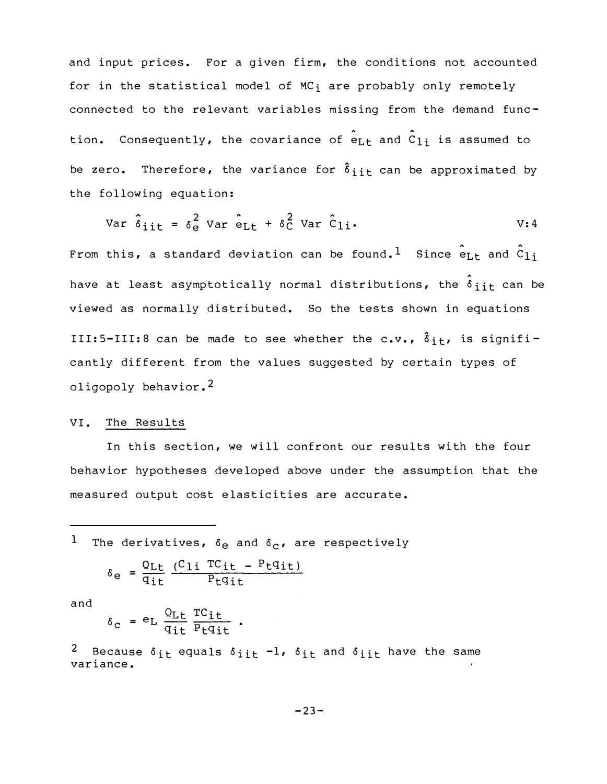and input prices. For a given firm, the conditions not accounted for in the statistical model of  $MC_i$  are probably only remotely connected to the relevant variables missing from the demand function. Consequently, the covariance of  $e_{Lt}$  and  $c_{1i}$  is assumed to be zero. Therefore, the variance for  $\delta_{i}$ <sub>it</sub> can be approximated by the following equation:

$$
Var \hat{\delta}_{i\dot{1}\dot{1}} = \delta_e^2 Var \hat{\epsilon}_{Lt} + \delta_C^2 Var \hat{\epsilon}_{1\dot{1}}.
$$

From this, a standard deviation can be found.<sup>1</sup> Since  $e_{Lt}$  and  $c_{1i}$ have at least asymptotically normal distributions, the  $\delta_{i\dot{1}\dot{1}}$  can be viewed as normally distributed. So the tests shown in equations III:5-III:8 can be made to see whether the c.v.,  $\hat{\delta}_{i,t}$ , is significantly different from the values suggested by certain types of oligopoly behavior.2

#### VI. The Results

In this section, we will confront our results with the four behavior hypotheses developed above under the assumption that the measured output cost elasticities are accurate.

1 The derivatives, 
$$
\delta_e
$$
 and  $\delta_c$ , are respectively  
\n
$$
\delta_e = \frac{Q_{Lt}}{q_{it}} \frac{(C_{1i} \text{ TC}_{it} - P_t q_{it})}{P_t q_{it}}
$$
\nand  
\n
$$
\delta_c = e_L \frac{Q_{Lt}}{q_{it}} \frac{\text{TC}_{it}}{P_t q_{it}}.
$$

<sup>2</sup> Because  $\delta$ <sub>it</sub> equals  $\delta$ <sub>iit</sub>  $-1$ ,  $\delta$ <sub>it</sub> and  $\delta$ <sub>iit</sub> have the same variance.

 $-23-$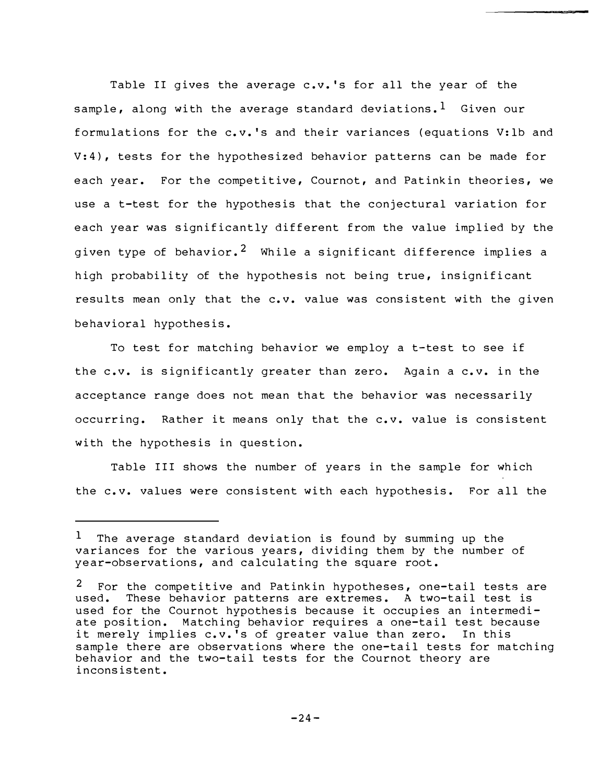Table II gives the average c.v. 's for all the year of the sample, along with the average standard deviations.<sup>1</sup> Given our f ormulations for the c. v. 's and their variances (equations V: lb and  $V: 4$ ), tests for the hypothesized behavior patterns can be made for each year. For the competitive, Cournot, and Patinkin theories, we use a t-test for the hypothesis that the conjectural variation for each year was significantly different from the value implied by the given type of behavior.<sup>2</sup> While a significant difference implies a high probability of the hypothesis not being true, insignificant results mean only that the c.v. value was consistent with the given behavioral hypothesis.

To test for matching behavior we employ a t-test to see if the c.v. is significantly greater than zero. Again a c.v. in the acceptance range does not mean that the behavior was necessarily occurring. Rather it means only that the c.v. value is consistent with the hypothesis in question.

Table III shows the number of years in the sample for which the c.v. values were consistent with each hypothesis. For all the

<sup>&</sup>lt;sup>1</sup> The average standard deviation is found by summing up the variances for the various years, dividing them by the number of year-observations, and calculating the square root.

 $2$  For the competitive and Patinkin hypotheses, one-tail tests are used. These behavior patterns are extremes. A two-tail test is used for the Cournot hypothesis because it occupies an intermediate position. Matching behavior requires a one-tail test because it merely implies c.v.'s of greater value than zero. In this sample there are observations where the one-tail tests for matching behavior and the two-tail tests for the Cournot theory are inconsistent.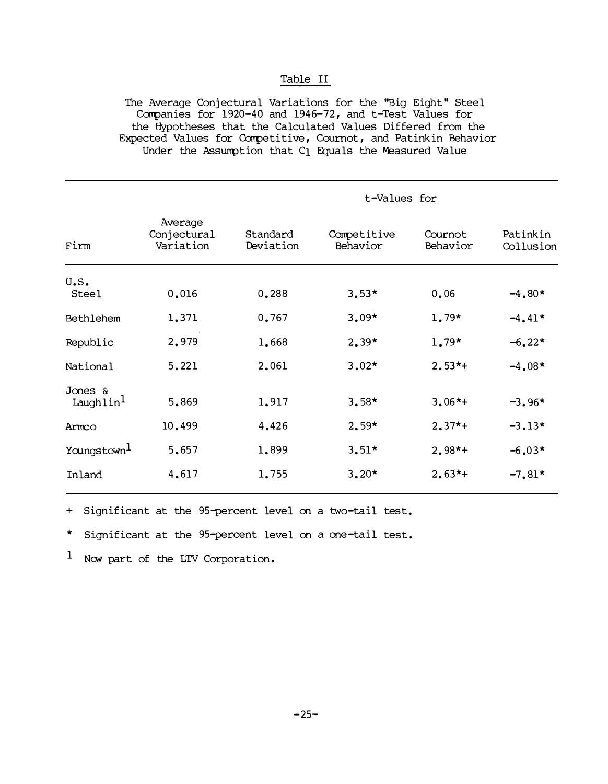# Table II

The Average Conjectural Variations for the "Big Eight" Steel Companies for 1920-40 and 1946-72, and t-Test Values for the Hypotheses that the Calculated Values Differed from the Expected Values for Competitive, Cournot, and Patinkin Behavior Under the Assumption that C1 Equals the Measured Value

|                                                  |                                     | t-Values for          |                         |                     |                       |  |
|--------------------------------------------------|-------------------------------------|-----------------------|-------------------------|---------------------|-----------------------|--|
| Firm                                             | Average<br>Conjectural<br>Variation | Standard<br>Deviation | Competitive<br>Behavior | Cournot<br>Behavior | Patinkin<br>Collusion |  |
| U.S.<br><b>Steel</b>                             | 0.016                               | 0.288                 | $3.53*$                 | 0.06                | $-4.80*$              |  |
| Bethlehem                                        | 1.371                               | 0.767                 | $3.09*$                 | $1.79*$             | $-4.41*$              |  |
| Republic                                         | 2.979                               | 1.668                 | $2.39*$                 | $1.79*$             | $-6.22*$              |  |
| National                                         | 5.221                               | 2.061                 | $3.02*$                 | $2.53*+$            | $-4.08*$              |  |
| Jones &<br>$L$ aughlin <sup><math>l</math></sup> | 5,869                               | 1.917                 | $3.58*$                 | $3.06*+$            | $-3.96*$              |  |
| Armco                                            | 10.499                              | 4,426                 | $2.59*$                 | $2.37*+$            | $-3.13*$              |  |
| Youngstown <sup>1</sup>                          | 5.657                               | 1,899                 | $3.51*$                 | $2.98*+$            | $-6.03*$              |  |
| Inland                                           | 4,617                               | 1.755                 | $3.20*$                 | $2.63*+$            | $-7.81*$              |  |

+ Significant at the 95-percent level on a two-tail test.

\* Significant at the 95-percent level on a one-tail test.

 $1$  Now part of the LTV Corporation.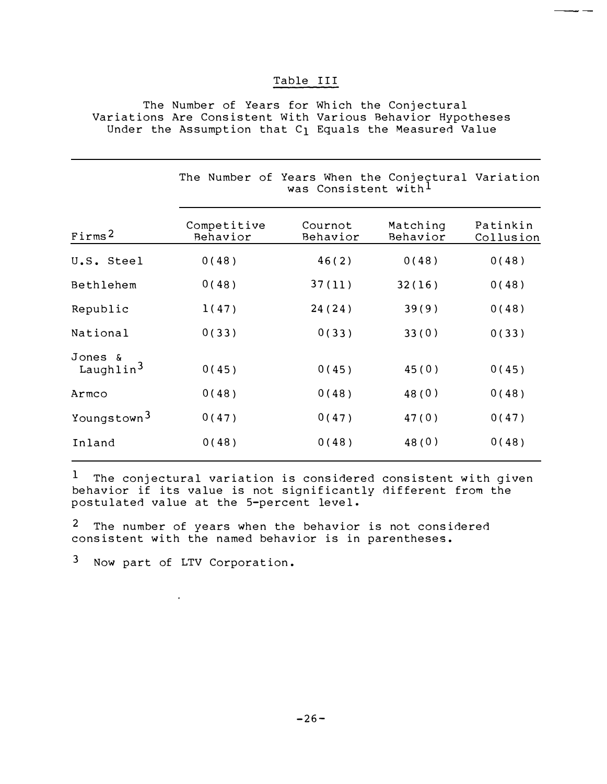# Table III

The Number of Years for Which the Conjectural Variations Are Consistent With Various Behavior Hypotheses Under the Assumption that C<sub>1</sub> Equals the Measured Value

|                                  | The Number of Years When the Conjectural Variation |                     |                      |                       |
|----------------------------------|----------------------------------------------------|---------------------|----------------------|-----------------------|
| Firms <sup>2</sup>               | Competitive<br>Behavior                            | Cournot<br>Behavior | Matching<br>Behavior | Patinkin<br>Collusion |
| U.S. Steel                       | 0(48)                                              | 46(2)               | 0(48)                | 0(48)                 |
| Bethlehem                        | 0(48)                                              | 37(11)              | 32(16)               | 0(48)                 |
| Republic                         | 1(47)                                              | 24(24)              | 39(9)                | 0(48)                 |
| National                         | 0(33)                                              | 0(33)               | 33(0)                | 0(33)                 |
| Jones &<br>Laughlin <sup>3</sup> | 0(45)                                              | 0(45)               | 45(0)                | 0(45)                 |
| Armco                            | 0(48)                                              | 0(48)               | 48(0)                | 0(48)                 |
| Youngstown <sup>3</sup>          | 0(47)                                              | 0(47)               | 47(0)                | 0(47)                 |
| Inland                           | 0(48)                                              | 0(48)               | 48(0)                | 0(48)                 |
|                                  |                                                    |                     |                      |                       |

1 The conjectural variation is considered consistent with given be havior if its value is not significantly dif ferent from the postulated value at the 5-percent level .

<sup>2</sup> The number of years when the behavior is not considered consistent with the named behavior is in parentheses.

3 Now part of LTV Corporation.

 $\sim$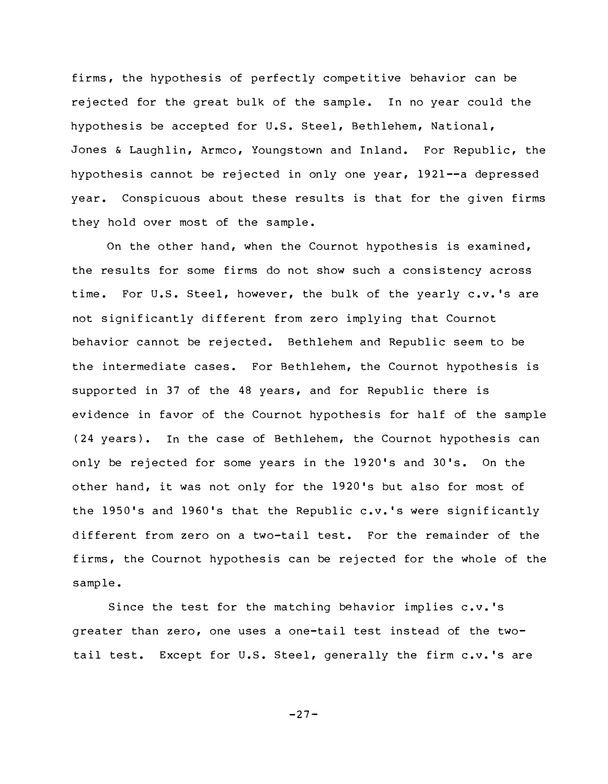firms, the hypothesis of perfectly competitive behavior can be rejected for the great bulk of the sample. In no year could the hypothesis be accepted for U.S. Steel, Bethlehem, National, Jones & Laughlin, Armco, Youngstown and Inland. For Republic, the hypothesis cannot be rejected in only one year, 1921--a depressed year. Conspicuous about these results is that for the given firms they hold over most of the sample.

On the other hand, when the Cournot hypothesis is examined, the results for some firms do not show such a consistency across time. For U.S. Steel, however, the bulk of the yearly c.v.'s are not significantly different from zero implying that Cournot be havior cannot be rejected. Bethlehem and Republic seem to be the intermediate cases. For Bethlehem, the Cournot hypothesis is suppor ted in 37 of the 48 years, and for Republic there is evidence in favor of the Cournot hypothesis for half of the sample (24 years). In the case of Bethlehem, the Cournot hypothesis can only be rejected for some years in the 19 20 's and 30 's. On the other hand, it was not only for the 1920's but also for most of the 1950's and 1960's that the Republic  $c.v.$ 's were significantly different from zero on a two-tail test. For the remainder of the firms, the Cournot hypothesis can be rejected for the whole of the sample.

Since the test for the matching behavior implies c.v. 's greater than zero, one uses a one-tail test instead of the twotail test. Except for U.S. Steel, generally the firm c.v.'s are

 $-27-$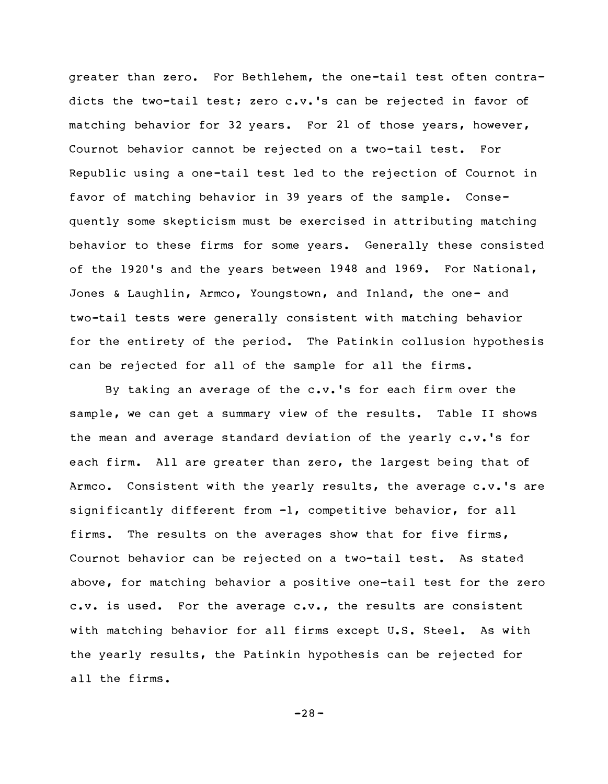greater than zero. For Bethlehem, the one-tail test of ten contradicts the two-tail test; zero c.v.'s can be rejected in favor of matching behavior for 32 years. For 21 of those years, however, Cournot behavior cannot be rejected on a two-tail test. For Republic using a one -tail test led to the rejection of Cournot in favor of matching behavior in 39 years of the sample. Consequently some skepticism must be exercised in attributing matching behavior to these firms for some years. Generally these consisted of the 1920's and the years between 1948 and 1969. For National, Jones & Laughlin, Armco, Youngstown, and Inland, the one- and two-tail tests were generally consistent with matching behavior for the entirety of the period. The Patinkin collusion hypothesis can be rejected for all of the sample for all the firms.

By taking an average of the c.v. 's for each firm over the sample, we can get a summary view of the results. Table II shows the mean and average standard deviation of the yearly c.v. 's for each firm. All are greater than zero, the largest being that of Armco. Consistent with the yearly results, the average  $c.v.$ 's are significantly different from  $-l$ , competitive behavior, for all firms. The results on the averages show that for five firms, Cournot behavior can be rejected on a two-tail test. As stated above, for matching behavior a positive one-tail test for the zero c.v. is used. For the average  $c.v.$ , the results are consistent with matching behavior for all firms except U.S. Steel. As with the yearly results, the Patinkin hypothesis can be rejected for all the firms.

 $-28-$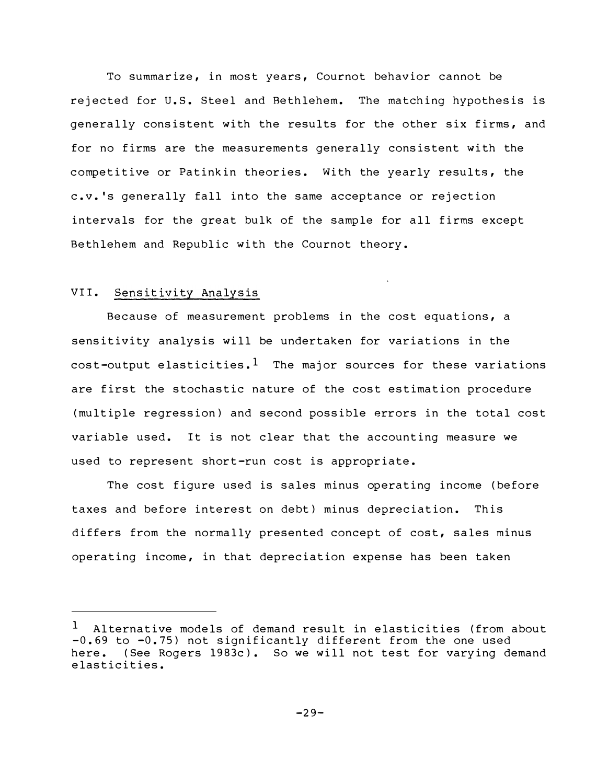To summarize, in most years, Cournot behavior cannot be rejected for u.s. Steel and Bethlehem. The matching hypothesis is generally consistent with the results for the other six firms, and for no firms are the measurements generally consistent with the competitive or Patinkin theories. With the yearly results, the c.v. 's generally fall into the same acceptance or rejection intervals for the great bulk of the sample for all firms except Bethlehem and Republic with the Cournot theory.

#### VII. <u>Sensitivity Analysis</u>

Because of measurement problems in the cost equations, a sensitivity analysis will be undertaken for variations in the cost-output elasticities.<sup>1</sup> The major sources for these variations are first the stochastic nature of the cost estimation procedure (multiple regression) and second possible errors in the total cost variable used. It is not clear that the accounting measure we used to represent short-run cost is appropriate.

The cost figure used is sales minus operating income (before taxes and before interest on debt) minus depreciation. This differs from the normally presented concept of cost, sales minus operating income, in that depreciation expense has been taken

<sup>&</sup>lt;sup>1</sup> Alternative models of demand result in elasticities (from about -0.69 to -0.75) not significantly different from the one used here. (See Rogers 1983c). So we will not test for varying demand elasticities.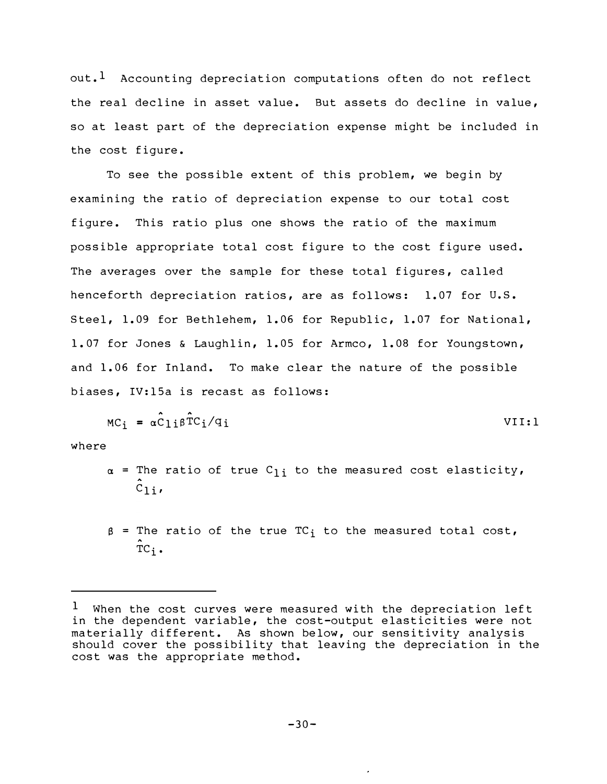out.<sup>1</sup> Accounting depreciation computations often do not reflect the real decline in asset value. But assets do decline in value, so at least part of the depreciation expense might be included in the cost figure.

To see the possible extent of this problem, we begin by examining the ratio of depreciation expense to our total cost figure. This ratio plus one shows the ratio of the maximum possible appropriate total cost figure to the cost figure used. The averages over the sample for these total figures, called henceforth depreciation ratios, are as follows: 1.07 for U.S. Steel, 1.09 for Bethlehem, 1.06 for Republic, 1.07 for National, 1.07 for Jones & Laughlin, 1.05 for Armco, 1.08 for Youngstown, and 1.06 for Inland. To make clear the nature of the possible biases, IV:15a is recast as follows:

$$
MC_i = \alpha \hat{C}_{1i} \beta \hat{T} C_i / q_i
$$
 VIII:1

where

- $\alpha$  = The ratio of true C<sub>li</sub> to the measured cost elasticity,  $\hat{c}_{1i}$
- $\beta$  = The ratio of the true TC<sub>i</sub> to the measured total cost,  $\overline{r}c_i$ .

 $1$  When the cost curves were measured with the depreciation left in the dependent variable, the cost-output elasticities were not materially different. As shown below, our sensitivity analysis should cover the possibility that leaving the depreciation in the cost was the appropriate method.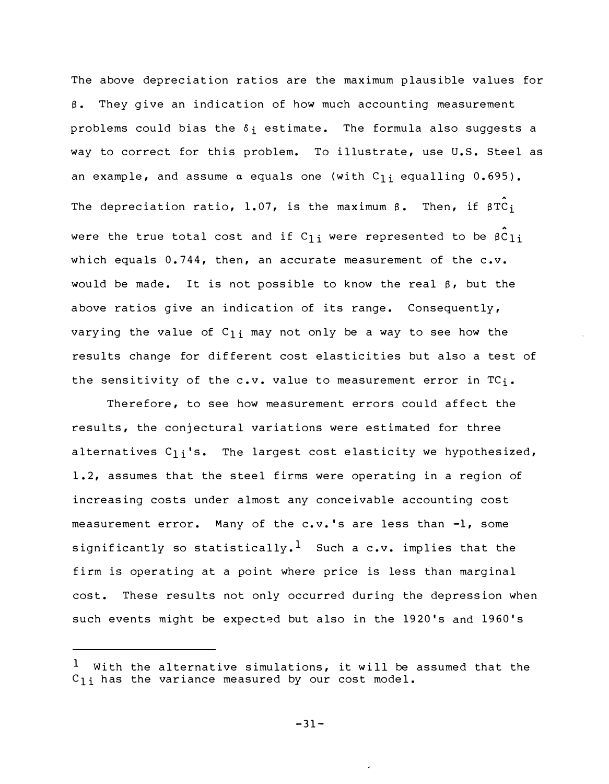The above depreciation ratios are the maximum plausible values for  $\beta$ . They give an indication of how much accounting measurement problems could bias the  $\delta_i$  estimate. The formula also suggests a way to correct for this problem. To illustrate, use U.S. Steel as an example, and assume  $\alpha$  equals one (with C<sub>li</sub> equalling 0.695). The depreciation ratio,  $1.07$ , is the maximum ß. Then, if  $\hat{\texttt{prc}}_\texttt{i}$ were the true total cost and if  $\mathtt{C}_{1\, \textbf{i}}$  were represented to be <code>βC</code>  $\mathtt{C}_{1\, \textbf{i}}$ which equals  $0.744$ , then, an accurate measurement of the  $c.v.$ would be made. It is not possible to know the real  $\beta$ , but the above ratios give an indication of its range. Consequently, varying the value of  $C_{1i}$  may not only be a way to see how the results change for different cost elasticities but also a test of the sensitivity of the  $c.v.$  value to measurement error in  $TC_i.$ 

Therefore, to see how measurement errors could affect the results, the conjectural variations were estimated for three alternatives  $C_{1i}$ 's. The largest cost elasticity we hypothesized, 1.2, assumes that the steel firms were operating in a region of increasing costs under almost any conceivable accounting cost measurement error. Many of the c. v. 's are less than -1, some significantly so statistically.<sup>1</sup> Such a c.v. implies that the firm is operating at a point where price is less than marginal cost. These results not only occurred during the depression when such events might be expected but also in the 1920's and 1960's

 $-31-$ 

With the alternative simulations, it will be assumed that the  $C_{1,i}$  has the variance measured by our cost model. 1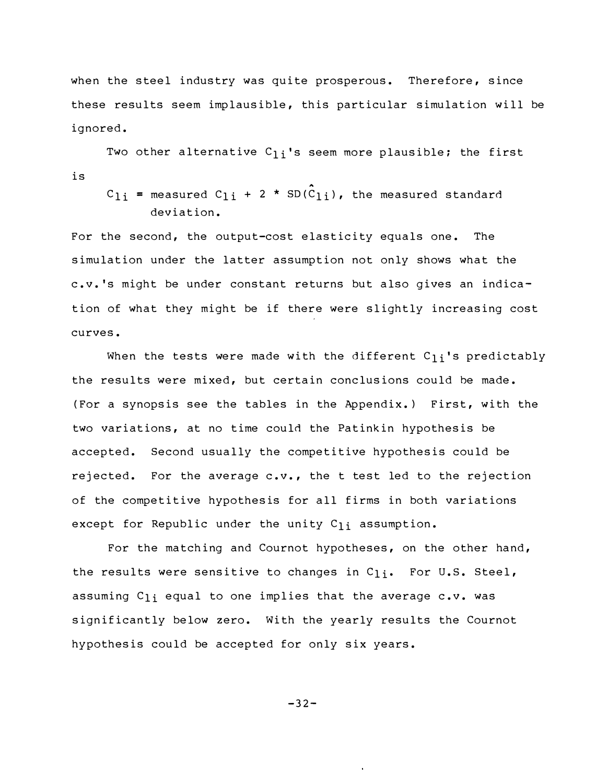when the steel industry was quite prosperous. Therefore, since these results seem implausible, this particular simulation will be ignored.

Two other alternative  $C_{1i}$ 's seem more plausible; the first is

 $C_{1i}$  = measured  $C_{1i}$  + 2 \* SD( $C_{1i}$ ), the measured standard deviation.

For the second, the output-cost elasticity equals one. The simulation under the latter assumption not only shows what the c.v. 's might be under constant returns but also gives an indication of what they might be if there were slightly increasing cost curves.

When the tests were made with the different  $C_{1i}$ 's predictably the results were mixed, but certain conclusions could be made. (For a synopsis see the tables in the Appendix.) First, with the two variations, at no time could the Patinkin hypothesis be accepted. Second usually the competitive hypothesis could be rejected. For the average c.v., the t test led to the rejection of the competitive hypothesis for all firms in both variations except for Republic under the unity  $C_{1i}$  assumption.

For the matching and Cournot hypotheses, on the other hand, the results were sensitive to changes in  $C_{1i}$ . For U.S. Steel, assuming  $C_{1i}$  equal to one implies that the average  $c.v.$  was significantly below zero. With the yearly results the Cournot hy pothesis could be accepted for only six years.

 $-32-$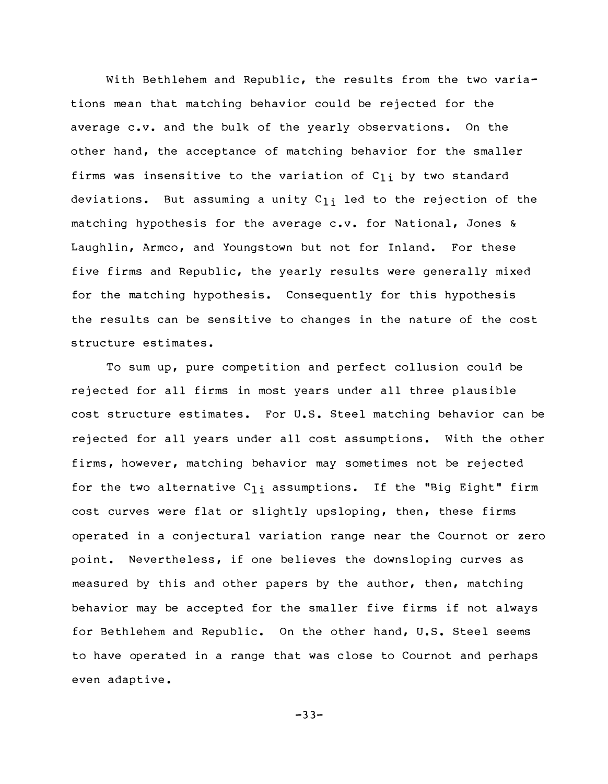With Bethlehem and Republic, the results from the two variations mean that matching behavior could be rejected for the average c.v. and the bulk of the yearly observations. On the other hand, the acceptance of matching behavior for the smaller firms was insensitive to the variation of  $C_{1i}$  by two standard deviations. But assuming a unity  $c_{1i}$  led to the rejection of the matching hypothesis for the average c.v. for National, Jones & Laughlin, Armco, and Youngstown but not for Inland. For these five firms and Republic, the yearly results were generally mixed for the matching hypothesis. Consequently for this hypothesis the results can be sensitive to changes in the nature of the cost structure estimates.

To sum up, pure competition and perfect collusion could be rejected for all firms in most years under all three plausible cost structure estimates. For U.S. Steel matching behavior can be rejected for all years under all cost assumptions. With the other firms, however, matching behavior may sometimes not be rejected for the two alternative  $C_{1i}$  assumptions. If the "Big Eight" firm cost curves were flat or slightly upsloping, then, these firms operated in a conjectural variation range near the Cournot or zero point. Nevertheless, if one believes the downsloping curves as measured by this and other papers by the author, then, matching behavior may be accepted for the smaller five firms if not always for Bethlehem and Republic. On the other hand, U.S. Steel seems to have operated in a range that was close to Cournot and perhaps even adaptive.

 $-33-$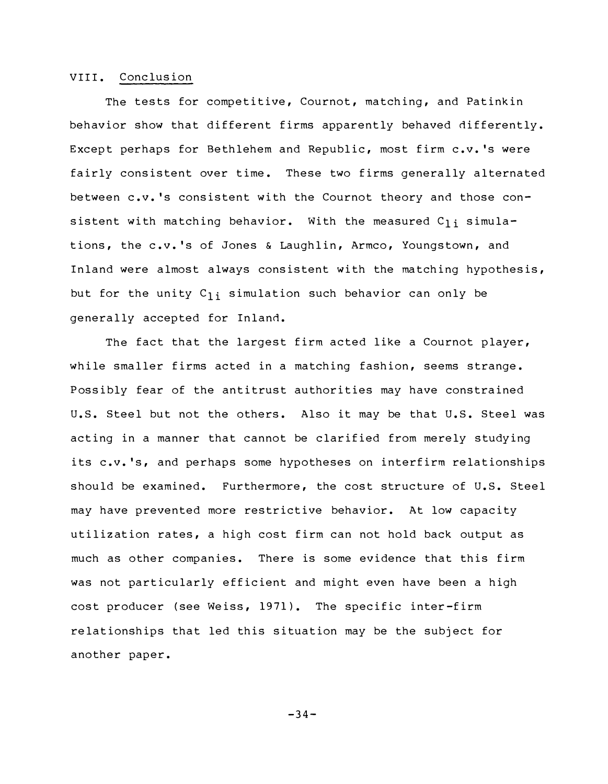#### VIII. Conclusion

The tests for competitive, Cournot, matching, and Patinkin behavior show that different firms apparently behaved differently. Except perhaps for Bethlehem and Republic, most firm c.v. 's were fairly consistent over time. These two firms generally alternated between c.v. 's consistent with the Cournot theory and those consistent with matching behavior. With the measured  $C_{1i}$  simulations, the c.v. 's of Jones & Laughlin, Armco, Youngstown, and Inland were almost always consistent with the matching hypothesis, but for the unity  $C_{1i}$  simulation such behavior can only be generally accepted for Inland.

The fact that the largest firm acted like a Cournot player, while smaller firms acted in a matching fashion, seems strange. Possibly fear of the antitrust authorities may have constrained U.S. Steel but not the others. Also it may be that U.S. Steel was acting in a manner that cannot be clarified from merely studying its c.v.'s, and perhaps some hypotheses on interfirm relationships should be examined. Furthermore, the cost structure of U.S. Steel may have prevented more restrictive behavior. At low capacity utilization rates, a high cost firm can not hold back output as much as other companies. There is some evidence that this firm was not particularly efficient and might even have been a high cost producer (see Weiss, 1971). The specific inter-firm relationships that led this situation may be the subject for another paper.

 $-34-$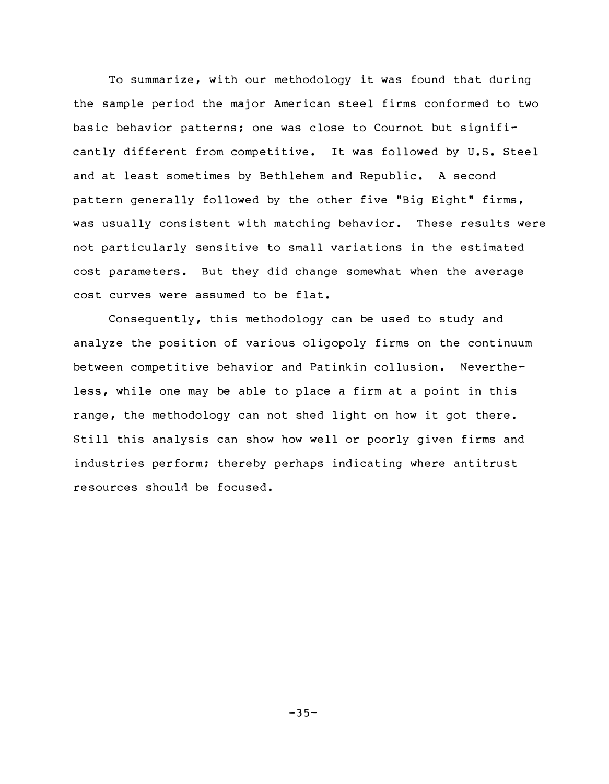To summarize, with our methodology it was found that during the sample period the major American steel firms conformed to two basic behavior patterns; one was close to Cournot but significantly different from competitive. It was followed by U.S. Steel and at least sometimes by Bethlehem and Republic. A second pattern generally followed by the other five "Big Eight" firms, was usually consistent with matching behavior. These results were not particularly sensitive to small variations in the estimated cost parameters. But they did change somewhat when the average cost curves were assumed to be flat.

Consequently, this methodology can be used to study and analyze the position of various oligopoly firms on the continuum between competitive behavior and Patinkin collusion. Nevertheless, while one may be able to place a firm at a point in this range, the methodology can not shed light on how it got there. Still this analysis can show how well or poorly given firms and industries per form; thereby perhaps indicating where antitrust re sources should be focused.

 $-35-$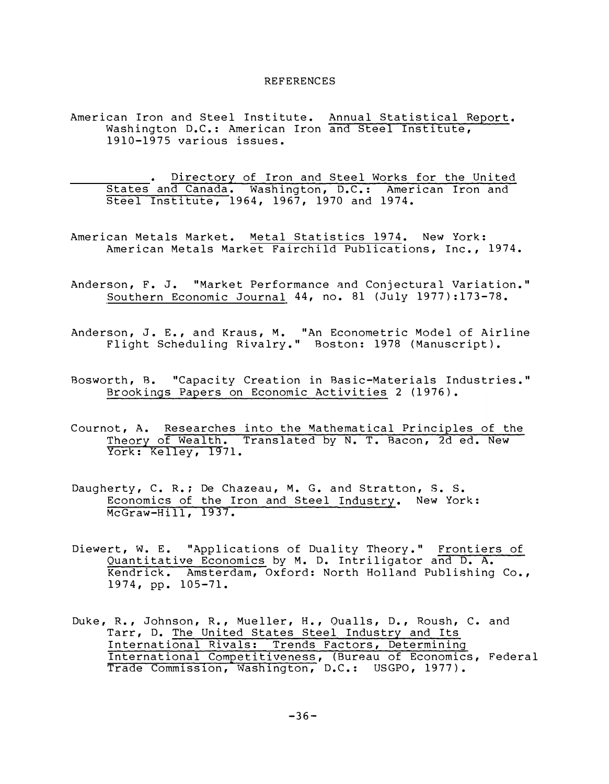#### REFERENCES

American Iron and Steel Institute. Annual Statistical Report. Washington D.C.: American Iron and Steel Institute, 1910-1975 various issues.

Directory of Iron and Steel Works for the United States and Canada. Washington, D.C.: American Iron and Steel Institute, 1964, 1967, 1970 and 1974.

- American Metals Market. Metal Statistics 1974. New York: American Metals Market Fairchild Publications, Inc., 1974.
- Anderson, F. J. "Market Performance and Conjectural Variation." Southern Economic Journal 44, no. 81 (July 1977): 173-78.

Anderson, J. E., and Kraus, M. "An Econometric Model of Airline Flight Scheduling Rivalry." Boston: 1978 (Manuscript).

- Brookings Papers on Economic Activities 2 (1976). Bosworth, B. "Capacity Creation in Basic-Materials Industries."
- Theory of Wealth. Translated by N. T. Bacon, 2d ed. New Cournot, A. Researches into the Mathematical Principles of the York: Kelley, 1971.
- Economics of the Iron and Steel Industry. New York: Daugherty, C. R.; De Chazeau, M. G. and Stratton, S. S. McGraw-Hill, 1937.
- Diewert, w. E. "Applications of Duality Theory." Frontiers of Quantitative Economics by M. D. Intriligator and D. A. Kendrick. Amsterdam, Oxford: North Holland Publishing Co., 1974, pp. 105-71.
- Competitiveness, Duke, R., Johnson, R., Mueller, H., Qualls, D., Roush, c. and Tarr, D. The United States Steel Industry and Its International Rivals: Trends Factors, Determining International Competitiveness, (Bureau of Economics, Federal Trade Commission, Washington, D.C.: USGPO, 1977).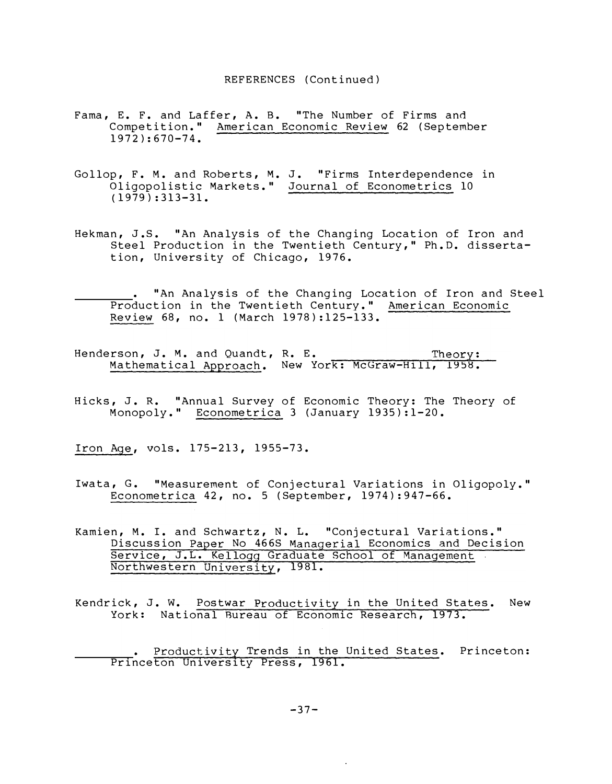#### REFERENCES (Continued)

- Fama, E. F. and Laffer, A. B. "The Number of Firms and Competition." American Economic Review 62 (September 1972 ): 670-74.
- Gollop, F. M. and Roberts, M. J. "Firms Inter dependence in Oligopolistic Markets." Journal of Econometrics 10 (1979): 313-31.
- Hekman, J.S. "An Analysis of the Changing Location of Iron and Steel Production in the Twentieth Century, " Ph.D. dissertation, University of Chicago, 1976.
	- "An Analysis of the Changing Location of Iron and Steel Production in the Twentieth Century." American Economic <u>Review</u> 68, no. l (March 1978):125–133.
- R. E. Theory: Mathematical Approach. New York: McGraw-Hill, 1958. Henderson, J. M. and Quandt, R. E.
- Hicks, J. R. "Annual Survey of Economic Theory: The Theory of Monopoly." Econometrica 3 (January 1935): 1-20.

<u>Iron Age</u>, vols. 175-213, 1955-73.

- Iwata, G. "Measurement of Conjectural Variations in Oligopoly." Econometrica 42, no. 5 (September, 1974): 947-66.
- Discussion Paper No 466S Managerial Economics and Decision Service, J.L. Kellogg Graduate School of Management Northwestern University, 1981. Kamien, M. I. and Schwartz, N. L. "Conjectural Variations."
- Kendrick, J. W. Postwar Productivity in the United States. New York: National Bureau of Economic Research, 1973.

Productivity Trends in the United States. Princeton: Princeton University Press, 1961.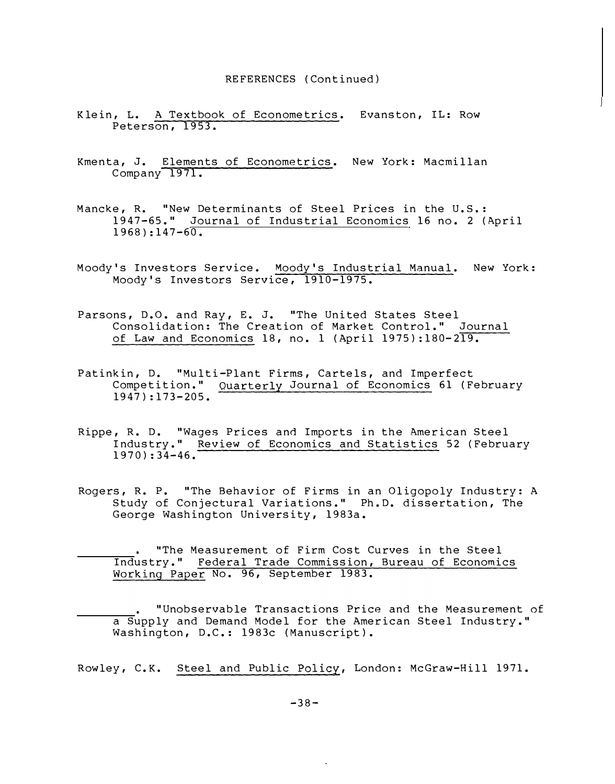#### REFERENCES (Continued)

- Klein, L. A Textbook of Econometrics. Evanston, IL: Row Peterson, 1953.
- Kmenta, J. Elements of Econometrics. New York: Macmillan Company 1971.
- Mancke, R. "New Determinants of Steel Prices in the U.S.: 1947-65." Journal of Industrial Economics 16 no. 2 (April  $1968$ ):147-60.
- Moody's Investors Service. Moody's Industrial Manual. New York: Moody's Investors Service, 1910-1975.
- Parsons, D.O. and Ray, E. J. "The United States Steel Consolidation: The Creation of Market Control." Journal of Law and Economics 18, no. 1 (April 1975):180- 219.
- Competition." Quarterly Journal of Economics 61 (February Patinkin, D. "Multi-Plant Firms, Cartels, and Imperfect 1947):173- 205.
- Rippe, R. D. "Wages Prices and Imports in the American Steel Industry." Review of Economics and Statistics 52 (February 1970):34-46.
- Rogers, R. P. "The Behavior of Firms in an Oligopoly Industry: A Study of Conjectural Variations." Ph.D. dissertation, The George Washington University, 1983a.

Working Paper No. 96, September 1983. "The Measurement of Firm Cost Curves in the Steel Industry." Federal Trade Commission, Bureau of Economics

"Unobservable Transactions Price and the Measurement of a Supply and Demand Model for the American Steel Industry." Washington, D.C.: 1983c (Manuscript).

Rowley, C.K. Steel and Public Policy, London: McGraw-Hill 1971.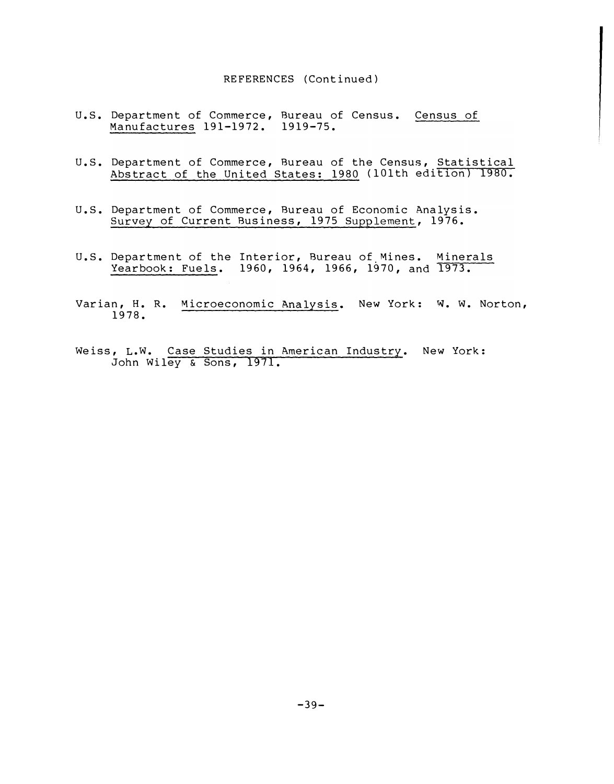#### REFERENCES (Continued)

- u.s. Department of Commerce, Bureau of Census. Census of Manufactures 191-1972. 1919-75.
- u.s. Department of Commerce, Bureau of the Census, Statistical Abstract of the United States: 1980 (lOlth edition) 1980.
- Survey of Current Business, 1975 Supplement, 1976. u.s. Department of Commerce, Bureau of Economic Analysis.
- u.s. Department of the Interior, Bureau of Mines. Minerals Yearbook: Fuels. 1960, 1964, 1966, 1970, and 1973.
- Varian, H. R. Microeconomic Analysis. New York: W. W. Norton, 1978.
- John Wiley & Sons, 1971. Weiss, L.W. Case Studies in American Industry. New York: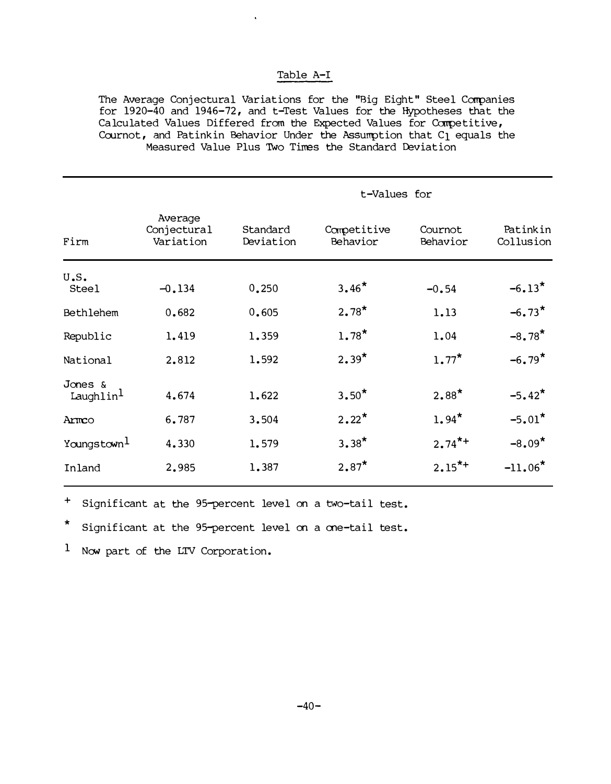# Table A-I

The Average Conjectural Variations for the "Big Eight" Steel Companies for 19 20-40 and 1946-72, and t-Test Values for the Hypotheses that the Calculated Values Differed from the Expected Values for Competitive, Cournot, and Patinkin Behavior Under the Assumption that  $C_1$  equals the Measured Value Plus TWo Times the Standard Deviation

|                                  |                                     |                       | t-Values for            |                      |                       |  |
|----------------------------------|-------------------------------------|-----------------------|-------------------------|----------------------|-----------------------|--|
| Firm                             | Average<br>Conjectural<br>Variation | Standard<br>Deviation | Competitive<br>Behavior | Cournot<br>Behavior  | Patinkin<br>Collusion |  |
| U.S.<br><b>Steel</b>             | $-0.134$                            | 0.250                 | $3.46*$                 | $-0.54$              | $-6.13*$              |  |
| Bethlehem                        | 0.682                               | 0.605                 | $2.78*$                 | 1.13                 | $-6.73*$              |  |
| Republic                         | 1.419                               | 1.359                 | $1.78*$                 | 1.04                 | $-8.78$ <sup>*</sup>  |  |
| National                         | 2.812                               | 1.592                 | $2.39*$                 | $1.77$ <sup>*</sup>  | $-6.79*$              |  |
| Jones &<br>Laughlin <sup>1</sup> | 4.674                               | 1.622                 | $3.50*$                 | $2.88*$              | $-5.42*$              |  |
| Armco                            | 6.787                               | 3.504                 | $2.22*$                 | $1.94*$              | $-5.01*$              |  |
| Youngstown <sup>1</sup>          | 4.330                               | 1.579                 | $3.38*$                 | $2.74$ <sup>*+</sup> | $-8.09*$              |  |
| Inland                           | 2.985                               | 1.387                 | $2.87*$                 | $2.15^{*+}$          | $-11.06*$             |  |

+ Significant at the 95-percent level on a two-tail test.

\* Significant at the 95-percent level on a one-tail test.

 $1$  Now part of the LTV Corporation.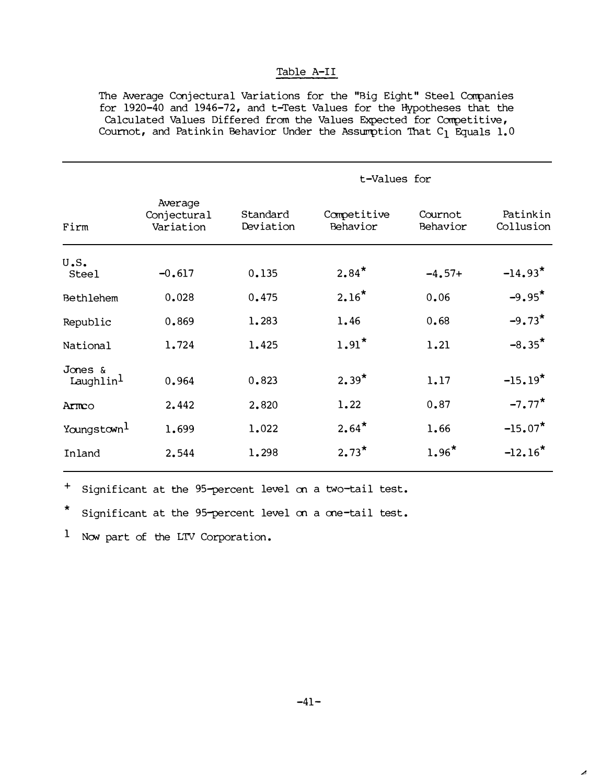# Table A-II

The Average Conjectural Variations for the "Big Eight" Steel Companies for  $1920-40$  and  $1946-72$ , and t-Test Values for the Hypotheses that the Calculated Values Differed from the Values Expected for Competitive, Cournot, and Patinkin Behavior Under the Assumption That  $C_1$  Equals 1.0

|                                  |                                     | t-Values for          |                         |                     |                       |
|----------------------------------|-------------------------------------|-----------------------|-------------------------|---------------------|-----------------------|
| Firm                             | Average<br>Conjectural<br>Variation | Standard<br>Deviation | Competitive<br>Behavior | Cournot<br>Behavior | Patinkin<br>Collusion |
| U.S.<br><b>Steel</b>             | $-0.617$                            | 0.135                 | $2.84*$                 | $-4.57+$            | $-14.93*$             |
| Bethlehem                        | 0.028                               | 0.475                 | $2.16*$                 | 0.06                | $-9.95*$              |
| Republic                         | 0.869                               | 1.283                 | 1.46                    | 0.68                | $-9.73*$              |
| National                         | 1.724                               | 1.425                 | $1.91*$                 | 1.21                | $-8.35*$              |
| Jones &<br>Laughlin <sup>1</sup> | 0.964                               | 0.823                 | $2.39*$                 | 1.17                | $-15.19*$             |
| Armco                            | 2.442                               | 2.820                 | 1.22                    | 0.87                | $-7.77*$              |
| Youngstown <sup>1</sup>          | 1.699                               | 1.022                 | $2.64*$                 | 1.66                | $-15.07*$             |
| Inland                           | 2.544                               | 1.298                 | $2.73*$                 | $1.96*$             | $-12.16*$             |
|                                  |                                     |                       |                         |                     |                       |

+ Significant at the 95-percent level en a two-tail test.

\* Significant at the 95-percent level on a one-tail test.

 $1$  Now part of the LTV Corporation.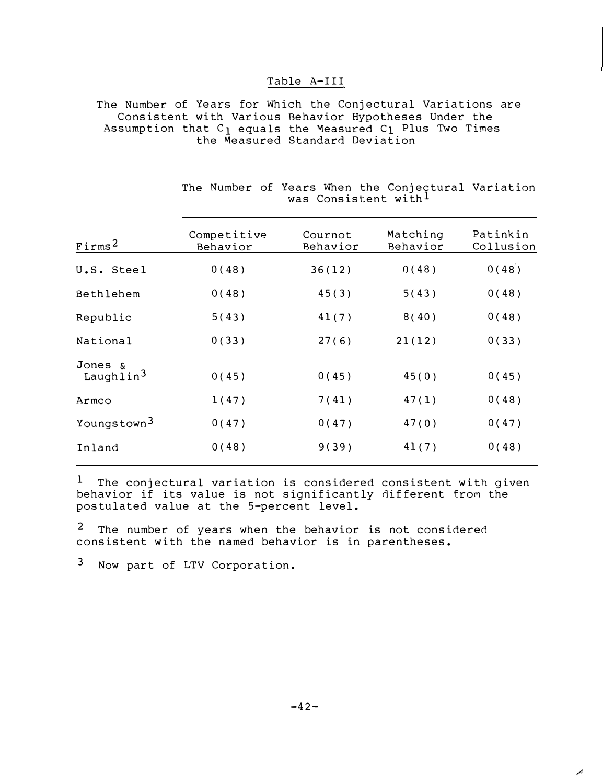### Table A-III

The Number of Years for Which the Conjectural Variations are Consistent with Various Behavior Hypotheses Under the Assumption that  $C_1$  equals the Measured  $C_1$  Plus Two Times the ăeasured Standard Deviation

|                                  | The Number of Years When the Conjectural Variation<br>was Consistent with <sup>1</sup> |                     |                      |                       |  |
|----------------------------------|----------------------------------------------------------------------------------------|---------------------|----------------------|-----------------------|--|
| First                            | Competitive<br>Behavior                                                                | Cournot<br>Behavior | Matching<br>Behavior | Patinkin<br>Collusion |  |
| U.S. Steel                       | 0(48)                                                                                  | 36(12)              | 0(48)                | 0(48)                 |  |
| Bethlehem                        | 0(48)                                                                                  | 45(3)               | 5(43)                | 0(48)                 |  |
| Republic                         | 5(43)                                                                                  | 41(7)               | 8(40)                | 0(48)                 |  |
| National                         | 0(33)                                                                                  | 27(6)               | 21(12)               | 0(33)                 |  |
| Jones &<br>Laughlin <sup>3</sup> | 0(45)                                                                                  | 0(45)               | 45(0)                | 0(45)                 |  |
| Armco                            | 1(47)                                                                                  | 7(41)               | 47(1)                | 0(48)                 |  |
| Youngstown <sup>3</sup>          | 0(47)                                                                                  | 0(47)               | 47(0)                | 0(47)                 |  |
| Inland                           | 0(48)                                                                                  | 9(39)               | 41(7)                | 0(48)                 |  |

 $1$  The conjectural variation is considered consistent with given behavior if its value is not significantly dif ferent from the postulated value at the 5-percent level.

2 The number of years when the behavior is not considered consistent with the named behavior is in parentheses.

3 Now part of LTV Corporation.

 $\mathcal{A}$